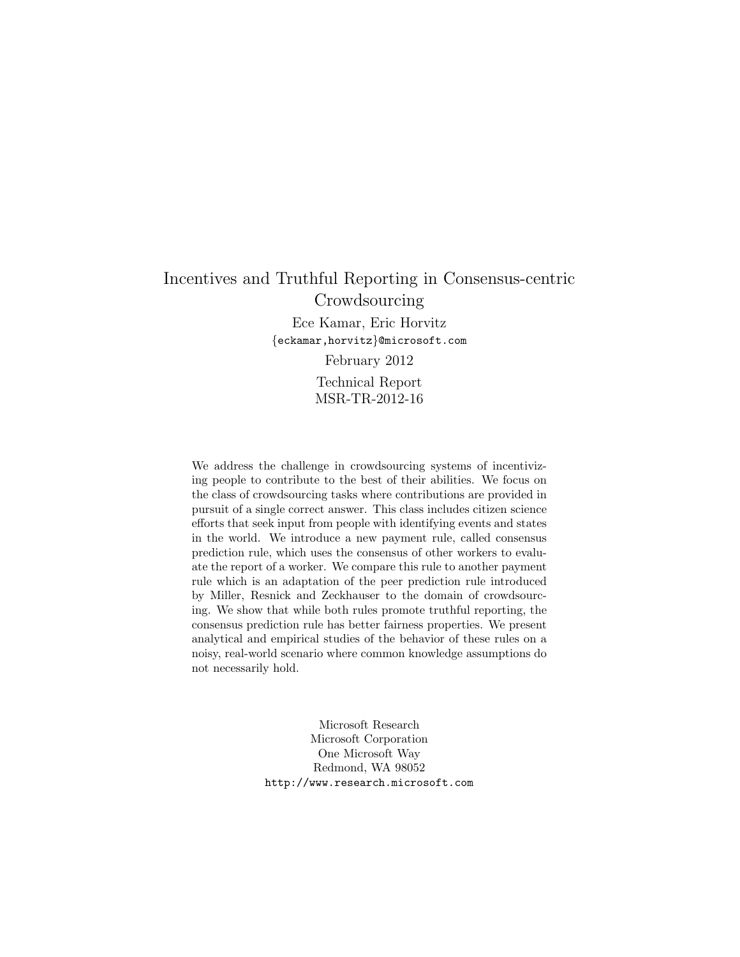# Incentives and Truthful Reporting in Consensus-centric Crowdsourcing Ece Kamar, Eric Horvitz {eckamar,horvitz}@microsoft.com February 2012 Technical Report MSR-TR-2012-16

We address the challenge in crowdsourcing systems of incentivizing people to contribute to the best of their abilities. We focus on the class of crowdsourcing tasks where contributions are provided in pursuit of a single correct answer. This class includes citizen science efforts that seek input from people with identifying events and states in the world. We introduce a new payment rule, called consensus prediction rule, which uses the consensus of other workers to evaluate the report of a worker. We compare this rule to another payment rule which is an adaptation of the peer prediction rule introduced by Miller, Resnick and Zeckhauser to the domain of crowdsourcing. We show that while both rules promote truthful reporting, the consensus prediction rule has better fairness properties. We present analytical and empirical studies of the behavior of these rules on a noisy, real-world scenario where common knowledge assumptions do not necessarily hold.

> Microsoft Research Microsoft Corporation One Microsoft Way Redmond, WA 98052 http://www.research.microsoft.com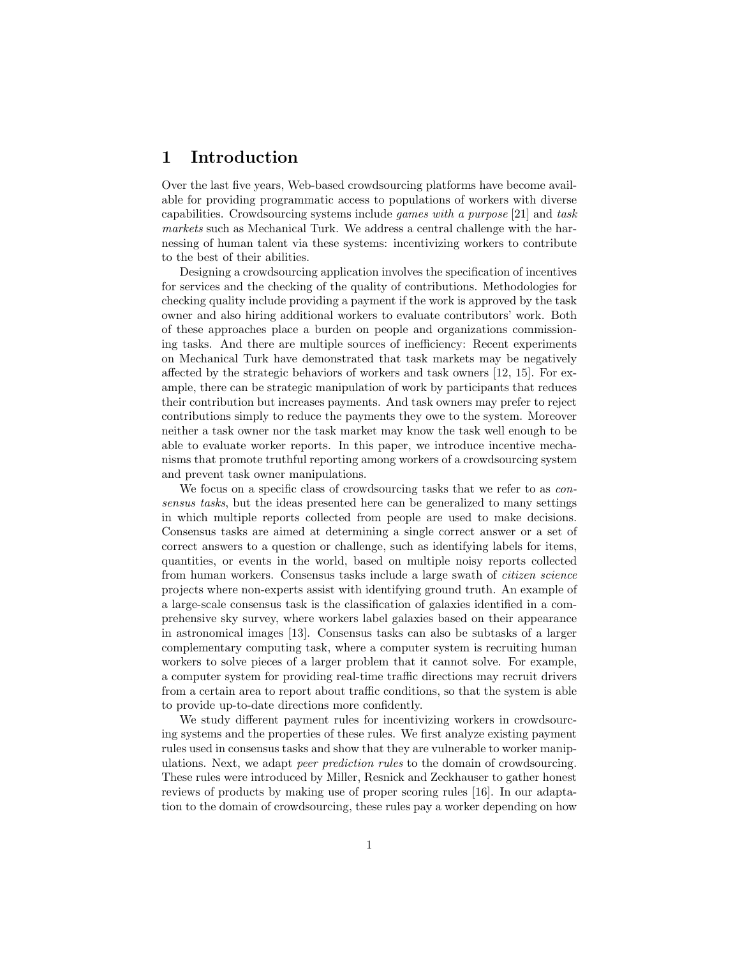# 1 Introduction

Over the last five years, Web-based crowdsourcing platforms have become available for providing programmatic access to populations of workers with diverse capabilities. Crowdsourcing systems include games with a purpose [21] and task markets such as Mechanical Turk. We address a central challenge with the harnessing of human talent via these systems: incentivizing workers to contribute to the best of their abilities.

Designing a crowdsourcing application involves the specification of incentives for services and the checking of the quality of contributions. Methodologies for checking quality include providing a payment if the work is approved by the task owner and also hiring additional workers to evaluate contributors' work. Both of these approaches place a burden on people and organizations commissioning tasks. And there are multiple sources of inefficiency: Recent experiments on Mechanical Turk have demonstrated that task markets may be negatively affected by the strategic behaviors of workers and task owners [12, 15]. For example, there can be strategic manipulation of work by participants that reduces their contribution but increases payments. And task owners may prefer to reject contributions simply to reduce the payments they owe to the system. Moreover neither a task owner nor the task market may know the task well enough to be able to evaluate worker reports. In this paper, we introduce incentive mechanisms that promote truthful reporting among workers of a crowdsourcing system and prevent task owner manipulations.

We focus on a specific class of crowdsourcing tasks that we refer to as *con*sensus tasks, but the ideas presented here can be generalized to many settings in which multiple reports collected from people are used to make decisions. Consensus tasks are aimed at determining a single correct answer or a set of correct answers to a question or challenge, such as identifying labels for items, quantities, or events in the world, based on multiple noisy reports collected from human workers. Consensus tasks include a large swath of citizen science projects where non-experts assist with identifying ground truth. An example of a large-scale consensus task is the classification of galaxies identified in a comprehensive sky survey, where workers label galaxies based on their appearance in astronomical images [13]. Consensus tasks can also be subtasks of a larger complementary computing task, where a computer system is recruiting human workers to solve pieces of a larger problem that it cannot solve. For example, a computer system for providing real-time traffic directions may recruit drivers from a certain area to report about traffic conditions, so that the system is able to provide up-to-date directions more confidently.

We study different payment rules for incentivizing workers in crowdsourcing systems and the properties of these rules. We first analyze existing payment rules used in consensus tasks and show that they are vulnerable to worker manipulations. Next, we adapt peer prediction rules to the domain of crowdsourcing. These rules were introduced by Miller, Resnick and Zeckhauser to gather honest reviews of products by making use of proper scoring rules [16]. In our adaptation to the domain of crowdsourcing, these rules pay a worker depending on how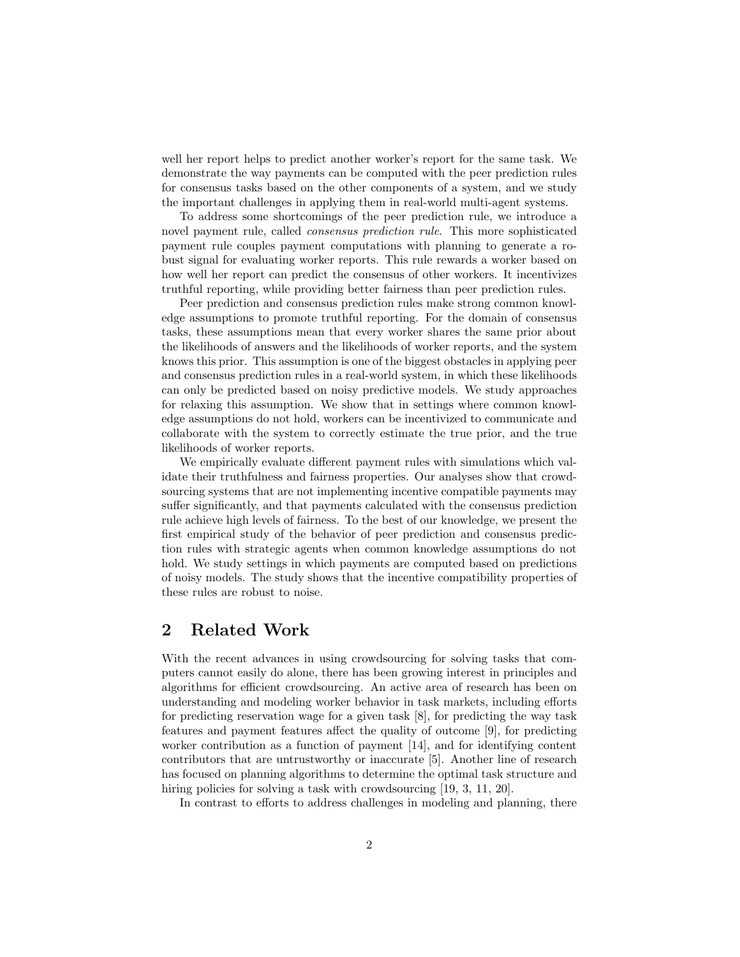well her report helps to predict another worker's report for the same task. We demonstrate the way payments can be computed with the peer prediction rules for consensus tasks based on the other components of a system, and we study the important challenges in applying them in real-world multi-agent systems.

To address some shortcomings of the peer prediction rule, we introduce a novel payment rule, called consensus prediction rule. This more sophisticated payment rule couples payment computations with planning to generate a robust signal for evaluating worker reports. This rule rewards a worker based on how well her report can predict the consensus of other workers. It incentivizes truthful reporting, while providing better fairness than peer prediction rules.

Peer prediction and consensus prediction rules make strong common knowledge assumptions to promote truthful reporting. For the domain of consensus tasks, these assumptions mean that every worker shares the same prior about the likelihoods of answers and the likelihoods of worker reports, and the system knows this prior. This assumption is one of the biggest obstacles in applying peer and consensus prediction rules in a real-world system, in which these likelihoods can only be predicted based on noisy predictive models. We study approaches for relaxing this assumption. We show that in settings where common knowledge assumptions do not hold, workers can be incentivized to communicate and collaborate with the system to correctly estimate the true prior, and the true likelihoods of worker reports.

We empirically evaluate different payment rules with simulations which validate their truthfulness and fairness properties. Our analyses show that crowdsourcing systems that are not implementing incentive compatible payments may suffer significantly, and that payments calculated with the consensus prediction rule achieve high levels of fairness. To the best of our knowledge, we present the first empirical study of the behavior of peer prediction and consensus prediction rules with strategic agents when common knowledge assumptions do not hold. We study settings in which payments are computed based on predictions of noisy models. The study shows that the incentive compatibility properties of these rules are robust to noise.

## 2 Related Work

With the recent advances in using crowdsourcing for solving tasks that computers cannot easily do alone, there has been growing interest in principles and algorithms for efficient crowdsourcing. An active area of research has been on understanding and modeling worker behavior in task markets, including efforts for predicting reservation wage for a given task [8], for predicting the way task features and payment features affect the quality of outcome [9], for predicting worker contribution as a function of payment [14], and for identifying content contributors that are untrustworthy or inaccurate [5]. Another line of research has focused on planning algorithms to determine the optimal task structure and hiring policies for solving a task with crowdsourcing [19, 3, 11, 20].

In contrast to efforts to address challenges in modeling and planning, there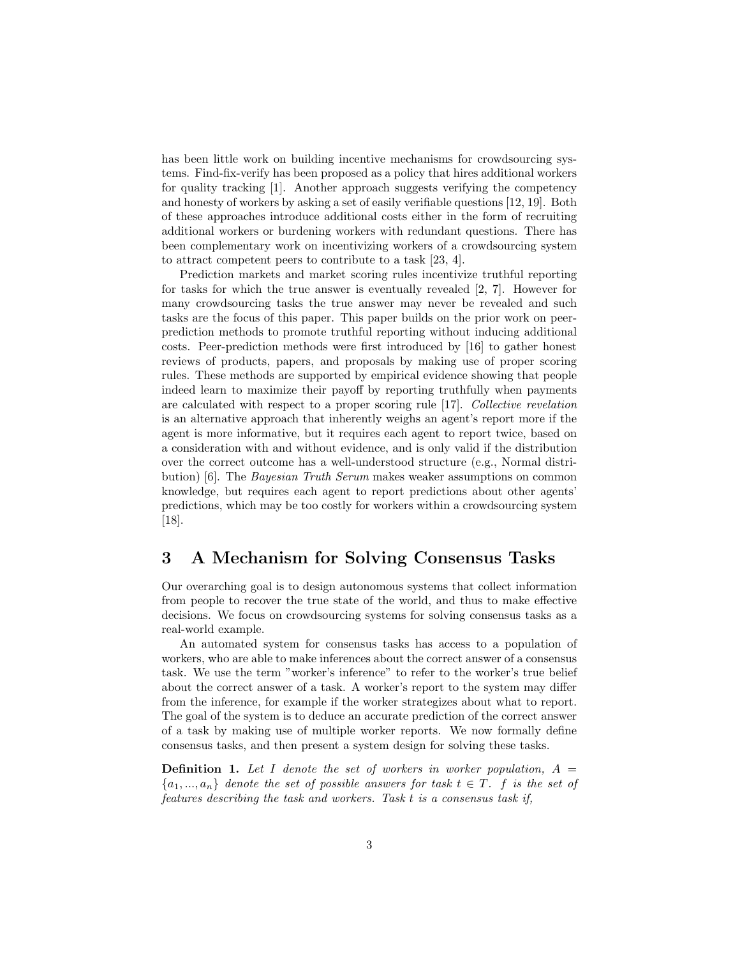has been little work on building incentive mechanisms for crowdsourcing systems. Find-fix-verify has been proposed as a policy that hires additional workers for quality tracking [1]. Another approach suggests verifying the competency and honesty of workers by asking a set of easily verifiable questions [12, 19]. Both of these approaches introduce additional costs either in the form of recruiting additional workers or burdening workers with redundant questions. There has been complementary work on incentivizing workers of a crowdsourcing system to attract competent peers to contribute to a task [23, 4].

Prediction markets and market scoring rules incentivize truthful reporting for tasks for which the true answer is eventually revealed [2, 7]. However for many crowdsourcing tasks the true answer may never be revealed and such tasks are the focus of this paper. This paper builds on the prior work on peerprediction methods to promote truthful reporting without inducing additional costs. Peer-prediction methods were first introduced by [16] to gather honest reviews of products, papers, and proposals by making use of proper scoring rules. These methods are supported by empirical evidence showing that people indeed learn to maximize their payoff by reporting truthfully when payments are calculated with respect to a proper scoring rule [17]. Collective revelation is an alternative approach that inherently weighs an agent's report more if the agent is more informative, but it requires each agent to report twice, based on a consideration with and without evidence, and is only valid if the distribution over the correct outcome has a well-understood structure (e.g., Normal distribution) [6]. The Bayesian Truth Serum makes weaker assumptions on common knowledge, but requires each agent to report predictions about other agents' predictions, which may be too costly for workers within a crowdsourcing system [18].

# 3 A Mechanism for Solving Consensus Tasks

Our overarching goal is to design autonomous systems that collect information from people to recover the true state of the world, and thus to make effective decisions. We focus on crowdsourcing systems for solving consensus tasks as a real-world example.

An automated system for consensus tasks has access to a population of workers, who are able to make inferences about the correct answer of a consensus task. We use the term "worker's inference" to refer to the worker's true belief about the correct answer of a task. A worker's report to the system may differ from the inference, for example if the worker strategizes about what to report. The goal of the system is to deduce an accurate prediction of the correct answer of a task by making use of multiple worker reports. We now formally define consensus tasks, and then present a system design for solving these tasks.

**Definition 1.** Let I denote the set of workers in worker population,  $A =$  ${a_1,...,a_n}$  denote the set of possible answers for task  $t \in T$ . f is the set of features describing the task and workers. Task t is a consensus task if,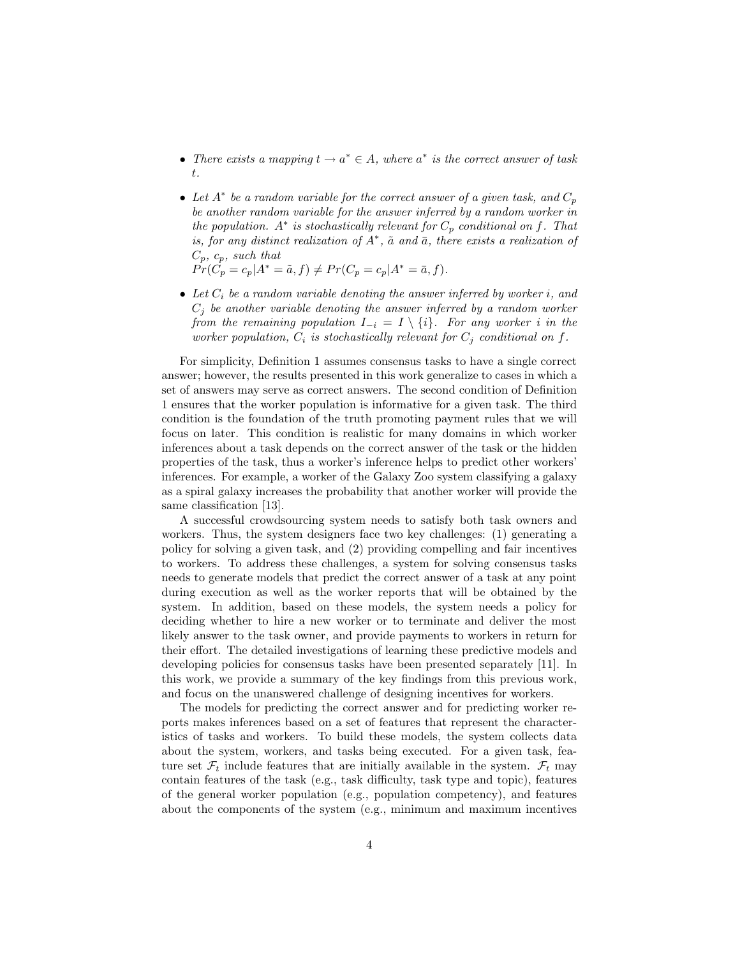- There exists a mapping  $t \to a^* \in A$ , where  $a^*$  is the correct answer of task t.
- Let  $A^*$  be a random variable for the correct answer of a given task, and  $C_p$ be another random variable for the answer inferred by a random worker in the population.  $A^*$  is stochastically relevant for  $C_p$  conditional on f. That is, for any distinct realization of  $A^*$ ,  $\tilde{a}$  and  $\bar{a}$ , there exists a realization of  $C_p, c_p, \text{ such that}$ 
	- $Pr(\hat{C_p} = c_p | A^* = \tilde{a}, f) \neq Pr(C_p = c_p | A^* = \bar{a}, f).$
- Let  $C_i$  be a random variable denoting the answer inferred by worker i, and  $C_i$  be another variable denoting the answer inferred by a random worker from the remaining population  $I_{-i} = I \setminus \{i\}$ . For any worker i in the worker population,  $C_i$  is stochastically relevant for  $C_j$  conditional on f.

For simplicity, Definition 1 assumes consensus tasks to have a single correct answer; however, the results presented in this work generalize to cases in which a set of answers may serve as correct answers. The second condition of Definition 1 ensures that the worker population is informative for a given task. The third condition is the foundation of the truth promoting payment rules that we will focus on later. This condition is realistic for many domains in which worker inferences about a task depends on the correct answer of the task or the hidden properties of the task, thus a worker's inference helps to predict other workers' inferences. For example, a worker of the Galaxy Zoo system classifying a galaxy as a spiral galaxy increases the probability that another worker will provide the same classification [13].

A successful crowdsourcing system needs to satisfy both task owners and workers. Thus, the system designers face two key challenges: (1) generating a policy for solving a given task, and (2) providing compelling and fair incentives to workers. To address these challenges, a system for solving consensus tasks needs to generate models that predict the correct answer of a task at any point during execution as well as the worker reports that will be obtained by the system. In addition, based on these models, the system needs a policy for deciding whether to hire a new worker or to terminate and deliver the most likely answer to the task owner, and provide payments to workers in return for their effort. The detailed investigations of learning these predictive models and developing policies for consensus tasks have been presented separately [11]. In this work, we provide a summary of the key findings from this previous work, and focus on the unanswered challenge of designing incentives for workers.

The models for predicting the correct answer and for predicting worker reports makes inferences based on a set of features that represent the characteristics of tasks and workers. To build these models, the system collects data about the system, workers, and tasks being executed. For a given task, feature set  $\mathcal{F}_t$  include features that are initially available in the system.  $\mathcal{F}_t$  may contain features of the task (e.g., task difficulty, task type and topic), features of the general worker population (e.g., population competency), and features about the components of the system (e.g., minimum and maximum incentives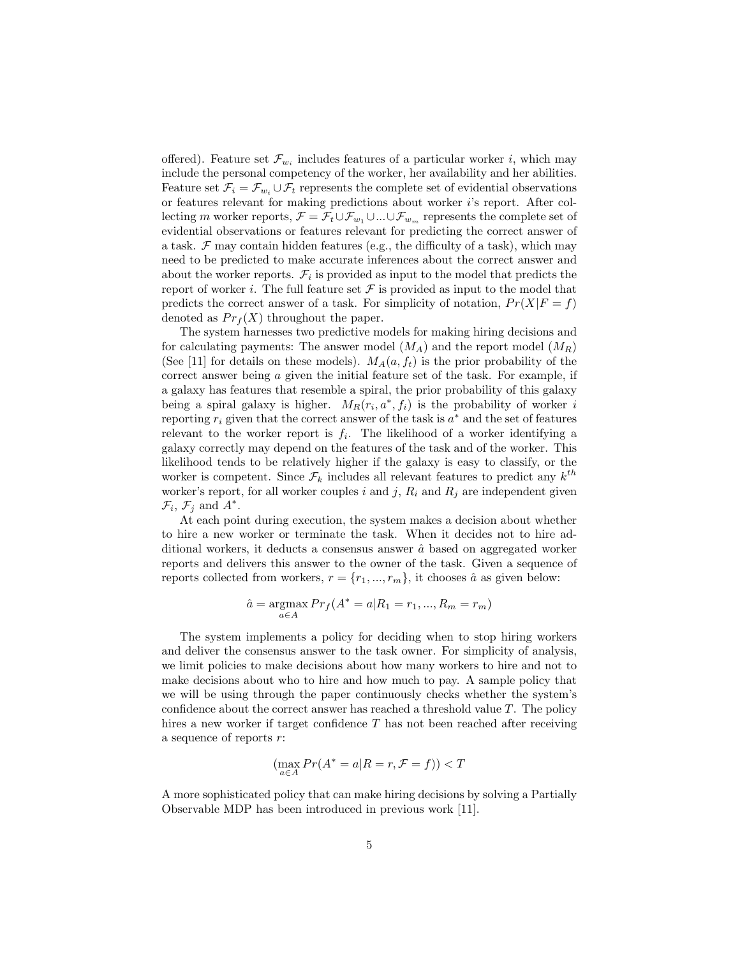offered). Feature set  $\mathcal{F}_{w_i}$  includes features of a particular worker *i*, which may include the personal competency of the worker, her availability and her abilities. Feature set  $\mathcal{F}_i = \mathcal{F}_{w_i} \cup \mathcal{F}_t$  represents the complete set of evidential observations or features relevant for making predictions about worker i's report. After collecting m worker reports,  $\mathcal{F} = \mathcal{F}_t \cup \mathcal{F}_{w_1} \cup ... \cup \mathcal{F}_{w_m}$  represents the complete set of evidential observations or features relevant for predicting the correct answer of a task.  $\mathcal F$  may contain hidden features (e.g., the difficulty of a task), which may need to be predicted to make accurate inferences about the correct answer and about the worker reports.  $\mathcal{F}_i$  is provided as input to the model that predicts the report of worker *i*. The full feature set  $\mathcal F$  is provided as input to the model that predicts the correct answer of a task. For simplicity of notation,  $Pr(X|F = f)$ denoted as  $Pr_f(X)$  throughout the paper.

The system harnesses two predictive models for making hiring decisions and for calculating payments: The answer model  $(M_A)$  and the report model  $(M_B)$ (See [11] for details on these models).  $M_A(a, f_t)$  is the prior probability of the correct answer being a given the initial feature set of the task. For example, if a galaxy has features that resemble a spiral, the prior probability of this galaxy being a spiral galaxy is higher.  $M_R(r_i, a^*, f_i)$  is the probability of worker is reporting  $r_i$  given that the correct answer of the task is  $a^*$  and the set of features relevant to the worker report is  $f_i$ . The likelihood of a worker identifying a galaxy correctly may depend on the features of the task and of the worker. This likelihood tends to be relatively higher if the galaxy is easy to classify, or the worker is competent. Since  $\mathcal{F}_k$  includes all relevant features to predict any  $k^{th}$ worker's report, for all worker couples i and j,  $R_i$  and  $R_j$  are independent given  $\mathcal{F}_i$ ,  $\mathcal{F}_j$  and  $A^*$ .

At each point during execution, the system makes a decision about whether to hire a new worker or terminate the task. When it decides not to hire additional workers, it deducts a consensus answer  $\hat{a}$  based on aggregated worker reports and delivers this answer to the owner of the task. Given a sequence of reports collected from workers,  $r = \{r_1, ..., r_m\}$ , it chooses  $\hat{a}$  as given below:

$$
\hat{a} = \underset{a \in A}{\text{argmax}} Pr_f(A^* = a | R_1 = r_1, ..., R_m = r_m)
$$

The system implements a policy for deciding when to stop hiring workers and deliver the consensus answer to the task owner. For simplicity of analysis, we limit policies to make decisions about how many workers to hire and not to make decisions about who to hire and how much to pay. A sample policy that we will be using through the paper continuously checks whether the system's confidence about the correct answer has reached a threshold value  $T$ . The policy hires a new worker if target confidence T has not been reached after receiving a sequence of reports r:

$$
(\max_{a \in A} Pr(A^* = a | R = r, \mathcal{F} = f)) < T
$$

A more sophisticated policy that can make hiring decisions by solving a Partially Observable MDP has been introduced in previous work [11].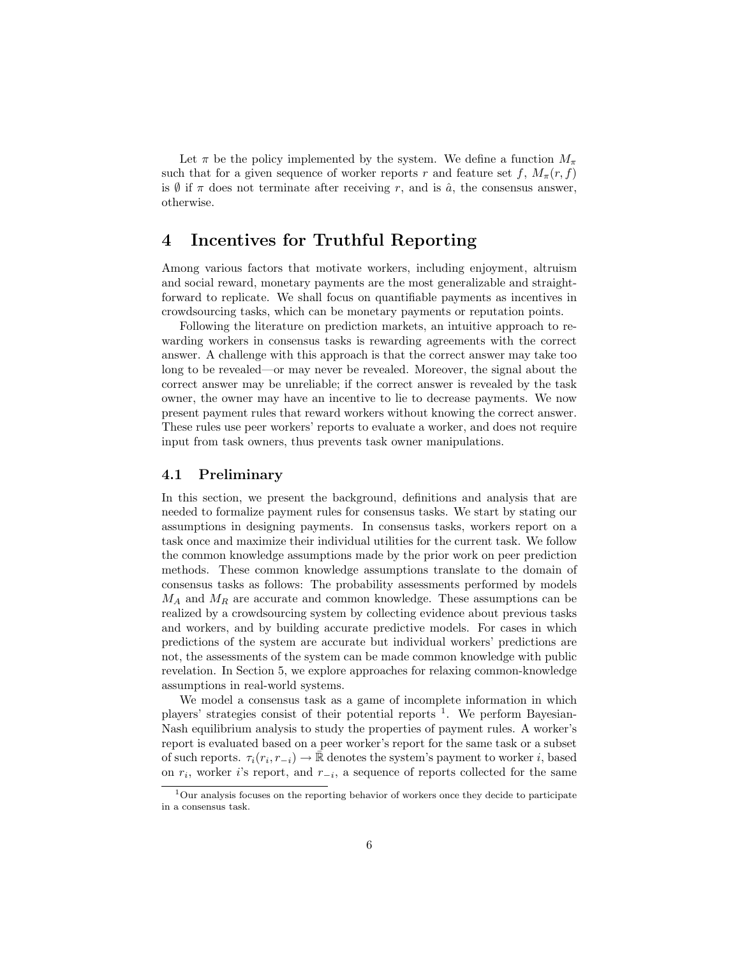Let  $\pi$  be the policy implemented by the system. We define a function  $M_{\pi}$ such that for a given sequence of worker reports r and feature set f,  $M_{\pi}(r, f)$ is  $\emptyset$  if  $\pi$  does not terminate after receiving r, and is  $\hat{a}$ , the consensus answer, otherwise.

# 4 Incentives for Truthful Reporting

Among various factors that motivate workers, including enjoyment, altruism and social reward, monetary payments are the most generalizable and straightforward to replicate. We shall focus on quantifiable payments as incentives in crowdsourcing tasks, which can be monetary payments or reputation points.

Following the literature on prediction markets, an intuitive approach to rewarding workers in consensus tasks is rewarding agreements with the correct answer. A challenge with this approach is that the correct answer may take too long to be revealed—or may never be revealed. Moreover, the signal about the correct answer may be unreliable; if the correct answer is revealed by the task owner, the owner may have an incentive to lie to decrease payments. We now present payment rules that reward workers without knowing the correct answer. These rules use peer workers' reports to evaluate a worker, and does not require input from task owners, thus prevents task owner manipulations.

### 4.1 Preliminary

In this section, we present the background, definitions and analysis that are needed to formalize payment rules for consensus tasks. We start by stating our assumptions in designing payments. In consensus tasks, workers report on a task once and maximize their individual utilities for the current task. We follow the common knowledge assumptions made by the prior work on peer prediction methods. These common knowledge assumptions translate to the domain of consensus tasks as follows: The probability assessments performed by models  $M_A$  and  $M_R$  are accurate and common knowledge. These assumptions can be realized by a crowdsourcing system by collecting evidence about previous tasks and workers, and by building accurate predictive models. For cases in which predictions of the system are accurate but individual workers' predictions are not, the assessments of the system can be made common knowledge with public revelation. In Section 5, we explore approaches for relaxing common-knowledge assumptions in real-world systems.

We model a consensus task as a game of incomplete information in which players' strategies consist of their potential reports <sup>1</sup>. We perform Bayesian-Nash equilibrium analysis to study the properties of payment rules. A worker's report is evaluated based on a peer worker's report for the same task or a subset of such reports.  $\tau_i(r_i, r_{-i}) \to \bar{\mathbb{R}}$  denotes the system's payment to worker i, based on  $r_i$ , worker i's report, and  $r_{-i}$ , a sequence of reports collected for the same

 $1$ Our analysis focuses on the reporting behavior of workers once they decide to participate in a consensus task.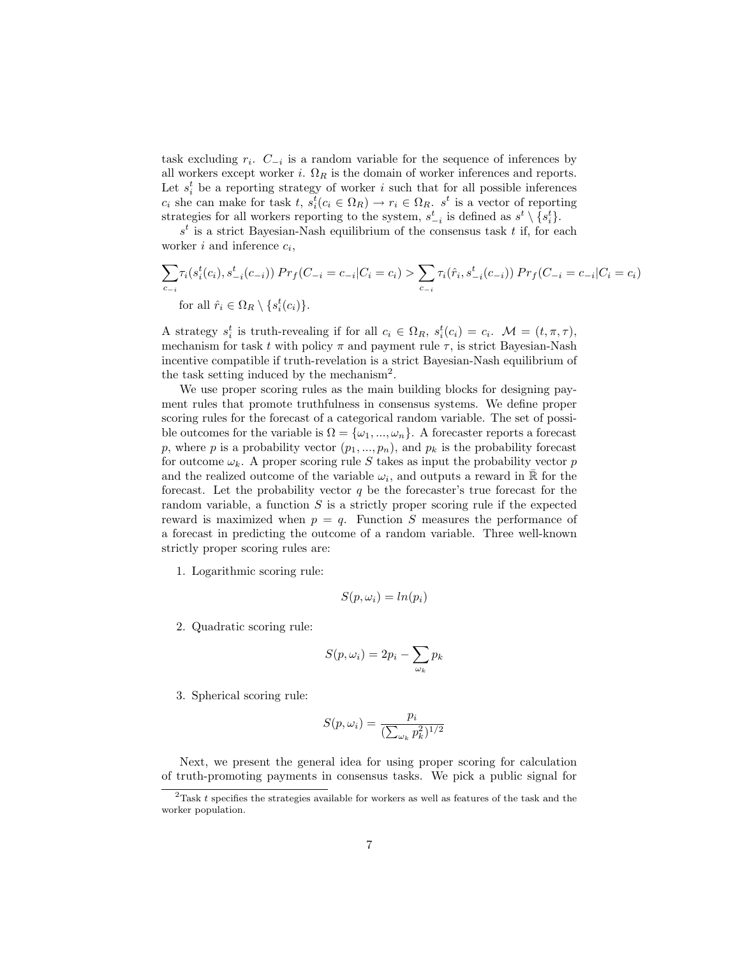task excluding  $r_i$ .  $C_{-i}$  is a random variable for the sequence of inferences by all workers except worker i.  $\Omega_R$  is the domain of worker inferences and reports. Let  $s_i^t$  be a reporting strategy of worker i such that for all possible inferences  $c_i$  she can make for task  $t, s_i^t$ ,  $(c_i \in \Omega_R) \to r_i \in \Omega_R$ ,  $s^t$  is a vector of reporting strategies for all workers reporting to the system,  $s_{-i}^t$  is defined as  $s^t \setminus \{s_i^t\}$ .

 $s<sup>t</sup>$  is a strict Bayesian-Nash equilibrium of the consensus task t if, for each worker  $i$  and inference  $c_i$ ,

$$
\sum_{c_{-i}} \tau_i(s_i^t(c_i), s_{-i}^t(c_{-i})) \Pr_f(C_{-i} = c_{-i}|C_i = c_i) > \sum_{c_{-i}} \tau_i(\hat{r}_i, s_{-i}^t(c_{-i})) \Pr_f(C_{-i} = c_{-i}|C_i = c_i)
$$
  
for all  $\hat{r}_i \in \Omega_R \setminus \{s_i^t(c_i)\}.$ 

A strategy  $s_i^t$  is truth-revealing if for all  $c_i \in \Omega_R$ ,  $s_i^t(c_i) = c_i$ .  $\mathcal{M} = (t, \pi, \tau)$ , mechanism for task t with policy  $\pi$  and payment rule  $\tau$ , is strict Bayesian-Nash incentive compatible if truth-revelation is a strict Bayesian-Nash equilibrium of the task setting induced by the mechanism<sup>2</sup>.

We use proper scoring rules as the main building blocks for designing payment rules that promote truthfulness in consensus systems. We define proper scoring rules for the forecast of a categorical random variable. The set of possible outcomes for the variable is  $\Omega = {\omega_1, ..., \omega_n}$ . A forecaster reports a forecast p, where p is a probability vector  $(p_1, ..., p_n)$ , and  $p_k$  is the probability forecast for outcome  $\omega_k$ . A proper scoring rule S takes as input the probability vector p and the realized outcome of the variable  $\omega_i$ , and outputs a reward in  $\mathbb{\bar{R}}$  for the forecast. Let the probability vector  $q$  be the forecaster's true forecast for the random variable, a function  $S$  is a strictly proper scoring rule if the expected reward is maximized when  $p = q$ . Function S measures the performance of a forecast in predicting the outcome of a random variable. Three well-known strictly proper scoring rules are:

1. Logarithmic scoring rule:

$$
S(p, \omega_i) = \ln(p_i)
$$

2. Quadratic scoring rule:

$$
S(p,\omega_i)=2p_i-\sum_{\omega_k}p_k
$$

3. Spherical scoring rule:

$$
S(p, \omega_i) = \frac{p_i}{(\sum_{\omega_k} p_k^2)^{1/2}}
$$

Next, we present the general idea for using proper scoring for calculation of truth-promoting payments in consensus tasks. We pick a public signal for

<sup>&</sup>lt;sup>2</sup>Task t specifies the strategies available for workers as well as features of the task and the worker population.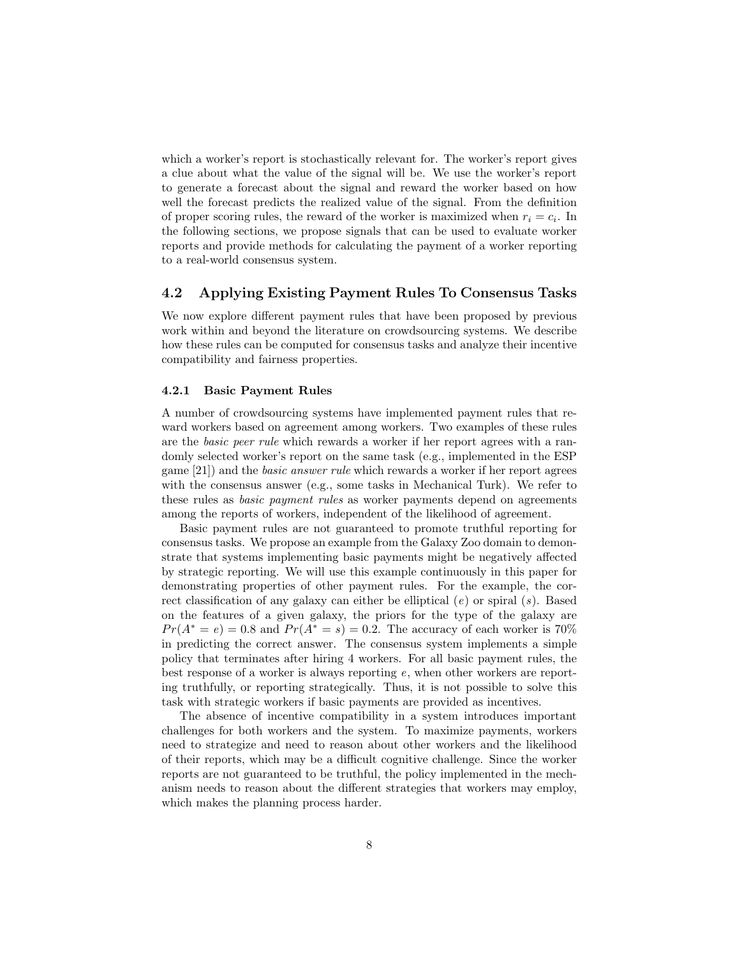which a worker's report is stochastically relevant for. The worker's report gives a clue about what the value of the signal will be. We use the worker's report to generate a forecast about the signal and reward the worker based on how well the forecast predicts the realized value of the signal. From the definition of proper scoring rules, the reward of the worker is maximized when  $r_i = c_i$ . In the following sections, we propose signals that can be used to evaluate worker reports and provide methods for calculating the payment of a worker reporting to a real-world consensus system.

### 4.2 Applying Existing Payment Rules To Consensus Tasks

We now explore different payment rules that have been proposed by previous work within and beyond the literature on crowdsourcing systems. We describe how these rules can be computed for consensus tasks and analyze their incentive compatibility and fairness properties.

#### 4.2.1 Basic Payment Rules

A number of crowdsourcing systems have implemented payment rules that reward workers based on agreement among workers. Two examples of these rules are the basic peer rule which rewards a worker if her report agrees with a randomly selected worker's report on the same task (e.g., implemented in the ESP game [21]) and the basic answer rule which rewards a worker if her report agrees with the consensus answer (e.g., some tasks in Mechanical Turk). We refer to these rules as basic payment rules as worker payments depend on agreements among the reports of workers, independent of the likelihood of agreement.

Basic payment rules are not guaranteed to promote truthful reporting for consensus tasks. We propose an example from the Galaxy Zoo domain to demonstrate that systems implementing basic payments might be negatively affected by strategic reporting. We will use this example continuously in this paper for demonstrating properties of other payment rules. For the example, the correct classification of any galaxy can either be elliptical  $(e)$  or spiral  $(s)$ . Based on the features of a given galaxy, the priors for the type of the galaxy are  $Pr(A^* = e) = 0.8$  and  $Pr(A^* = s) = 0.2$ . The accuracy of each worker is 70% in predicting the correct answer. The consensus system implements a simple policy that terminates after hiring 4 workers. For all basic payment rules, the best response of a worker is always reporting  $e$ , when other workers are reporting truthfully, or reporting strategically. Thus, it is not possible to solve this task with strategic workers if basic payments are provided as incentives.

The absence of incentive compatibility in a system introduces important challenges for both workers and the system. To maximize payments, workers need to strategize and need to reason about other workers and the likelihood of their reports, which may be a difficult cognitive challenge. Since the worker reports are not guaranteed to be truthful, the policy implemented in the mechanism needs to reason about the different strategies that workers may employ, which makes the planning process harder.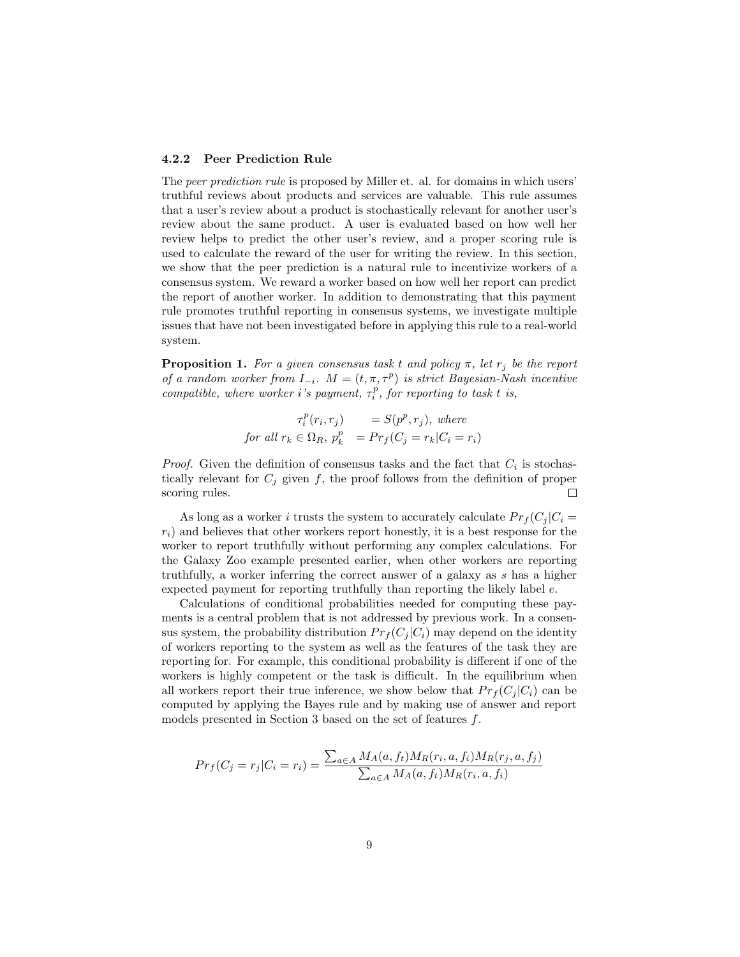#### 4.2.2 Peer Prediction Rule

The peer prediction rule is proposed by Miller et. al. for domains in which users' truthful reviews about products and services are valuable. This rule assumes that a user's review about a product is stochastically relevant for another user's review about the same product. A user is evaluated based on how well her review helps to predict the other user's review, and a proper scoring rule is used to calculate the reward of the user for writing the review. In this section, we show that the peer prediction is a natural rule to incentivize workers of a consensus system. We reward a worker based on how well her report can predict the report of another worker. In addition to demonstrating that this payment rule promotes truthful reporting in consensus systems, we investigate multiple issues that have not been investigated before in applying this rule to a real-world system.

**Proposition 1.** For a given consensus task t and policy  $\pi$ , let  $r_j$  be the report of a random worker from  $I_{-i}$ .  $M = (t, \pi, \tau^p)$  is strict Bayesian-Nash incentive compatible, where worker i's payment,  $\tau_i^p$ , for reporting to task t is,

$$
\tau_i^p(r_i, r_j) = S(p^p, r_j), \text{ where}
$$
  
for all  $r_k \in \Omega_R$ ,  $p_k^p = Pr_f(C_j = r_k | C_i = r_i)$ 

*Proof.* Given the definition of consensus tasks and the fact that  $C_i$  is stochastically relevant for  $C_i$  given f, the proof follows from the definition of proper scoring rules.  $\Box$ 

As long as a worker i trusts the system to accurately calculate  $Pr_f(C_i | C_i =$  $r_i$ ) and believes that other workers report honestly, it is a best response for the worker to report truthfully without performing any complex calculations. For the Galaxy Zoo example presented earlier, when other workers are reporting truthfully, a worker inferring the correct answer of a galaxy as s has a higher expected payment for reporting truthfully than reporting the likely label e.

Calculations of conditional probabilities needed for computing these payments is a central problem that is not addressed by previous work. In a consensus system, the probability distribution  $Pr_f(C_i | C_i)$  may depend on the identity of workers reporting to the system as well as the features of the task they are reporting for. For example, this conditional probability is different if one of the workers is highly competent or the task is difficult. In the equilibrium when all workers report their true inference, we show below that  $Pr_j(C_i|C_i)$  can be computed by applying the Bayes rule and by making use of answer and report models presented in Section 3 based on the set of features f.

$$
Pr_f(C_j = r_j | C_i = r_i) = \frac{\sum_{a \in A} M_A(a, f_t) M_R(r_i, a, f_i) M_R(r_j, a, f_j)}{\sum_{a \in A} M_A(a, f_t) M_R(r_i, a, f_i)}
$$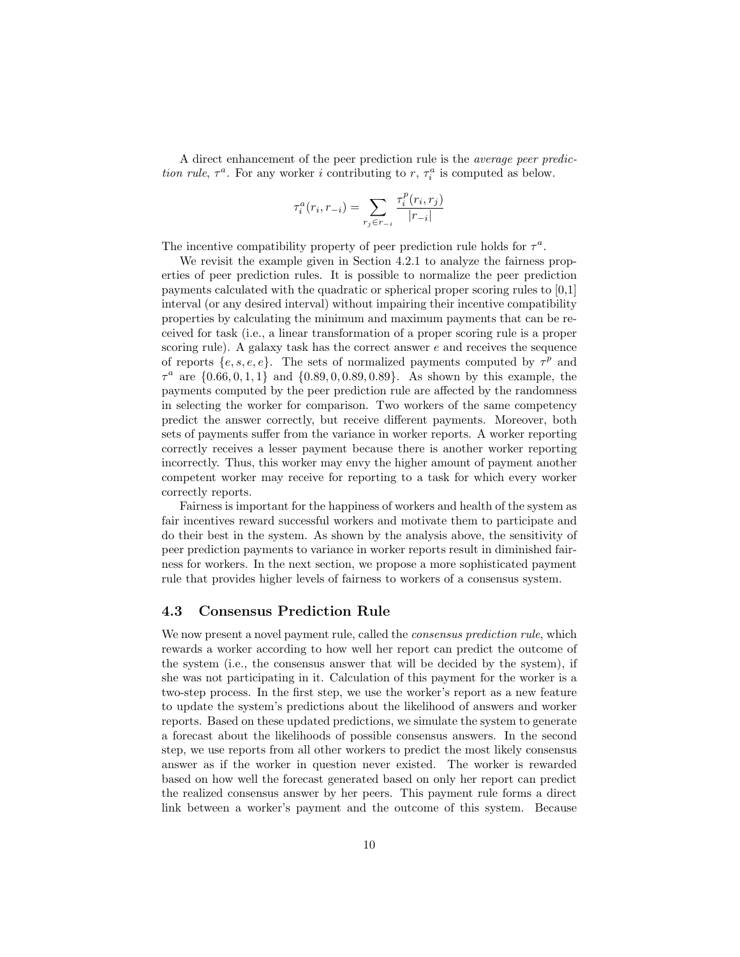A direct enhancement of the peer prediction rule is the average peer prediction rule,  $\tau^a$ . For any worker i contributing to r,  $\tau_i^a$  is computed as below.

$$
\tau_i^a(r_i,r_{-i})=\sum_{r_j\in r_{-i}}\frac{\tau_i^p(r_i,r_j)}{|r_{-i}|}
$$

The incentive compatibility property of peer prediction rule holds for  $\tau^a$ .

We revisit the example given in Section 4.2.1 to analyze the fairness properties of peer prediction rules. It is possible to normalize the peer prediction payments calculated with the quadratic or spherical proper scoring rules to [0,1] interval (or any desired interval) without impairing their incentive compatibility properties by calculating the minimum and maximum payments that can be received for task (i.e., a linear transformation of a proper scoring rule is a proper scoring rule). A galaxy task has the correct answer  $e$  and receives the sequence of reports  $\{e, s, e, e\}$ . The sets of normalized payments computed by  $\tau^p$  and  $\tau^a$  are  $\{0.66, 0, 1, 1\}$  and  $\{0.89, 0, 0.89, 0.89\}$ . As shown by this example, the payments computed by the peer prediction rule are affected by the randomness in selecting the worker for comparison. Two workers of the same competency predict the answer correctly, but receive different payments. Moreover, both sets of payments suffer from the variance in worker reports. A worker reporting correctly receives a lesser payment because there is another worker reporting incorrectly. Thus, this worker may envy the higher amount of payment another competent worker may receive for reporting to a task for which every worker correctly reports.

Fairness is important for the happiness of workers and health of the system as fair incentives reward successful workers and motivate them to participate and do their best in the system. As shown by the analysis above, the sensitivity of peer prediction payments to variance in worker reports result in diminished fairness for workers. In the next section, we propose a more sophisticated payment rule that provides higher levels of fairness to workers of a consensus system.

### 4.3 Consensus Prediction Rule

We now present a novel payment rule, called the *consensus prediction rule*, which rewards a worker according to how well her report can predict the outcome of the system (i.e., the consensus answer that will be decided by the system), if she was not participating in it. Calculation of this payment for the worker is a two-step process. In the first step, we use the worker's report as a new feature to update the system's predictions about the likelihood of answers and worker reports. Based on these updated predictions, we simulate the system to generate a forecast about the likelihoods of possible consensus answers. In the second step, we use reports from all other workers to predict the most likely consensus answer as if the worker in question never existed. The worker is rewarded based on how well the forecast generated based on only her report can predict the realized consensus answer by her peers. This payment rule forms a direct link between a worker's payment and the outcome of this system. Because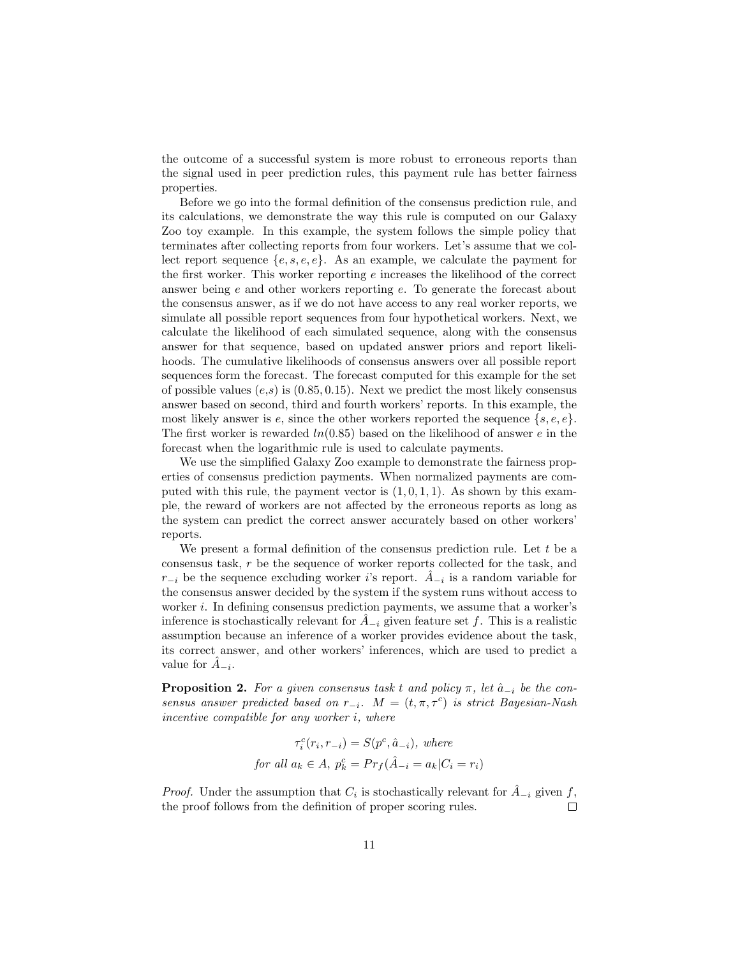the outcome of a successful system is more robust to erroneous reports than the signal used in peer prediction rules, this payment rule has better fairness properties.

Before we go into the formal definition of the consensus prediction rule, and its calculations, we demonstrate the way this rule is computed on our Galaxy Zoo toy example. In this example, the system follows the simple policy that terminates after collecting reports from four workers. Let's assume that we collect report sequence  $\{e, s, e, e\}$ . As an example, we calculate the payment for the first worker. This worker reporting  $e$  increases the likelihood of the correct answer being e and other workers reporting e. To generate the forecast about the consensus answer, as if we do not have access to any real worker reports, we simulate all possible report sequences from four hypothetical workers. Next, we calculate the likelihood of each simulated sequence, along with the consensus answer for that sequence, based on updated answer priors and report likelihoods. The cumulative likelihoods of consensus answers over all possible report sequences form the forecast. The forecast computed for this example for the set of possible values  $(e,s)$  is  $(0.85, 0.15)$ . Next we predict the most likely consensus answer based on second, third and fourth workers' reports. In this example, the most likely answer is  $e$ , since the other workers reported the sequence  $\{s, e, e\}$ . The first worker is rewarded  $ln(0.85)$  based on the likelihood of answer e in the forecast when the logarithmic rule is used to calculate payments.

We use the simplified Galaxy Zoo example to demonstrate the fairness properties of consensus prediction payments. When normalized payments are computed with this rule, the payment vector is  $(1, 0, 1, 1)$ . As shown by this example, the reward of workers are not affected by the erroneous reports as long as the system can predict the correct answer accurately based on other workers' reports.

We present a formal definition of the consensus prediction rule. Let  $t$  be a consensus task, r be the sequence of worker reports collected for the task, and  $r_{-i}$  be the sequence excluding worker *i*'s report.  $\hat{A}_{-i}$  is a random variable for the consensus answer decided by the system if the system runs without access to worker i. In defining consensus prediction payments, we assume that a worker's inference is stochastically relevant for  $A_{-i}$  given feature set f. This is a realistic assumption because an inference of a worker provides evidence about the task, its correct answer, and other workers' inferences, which are used to predict a value for  $\hat{A}_{-i}$ .

**Proposition 2.** For a given consensus task t and policy  $\pi$ , let  $\hat{a}_{-i}$  be the consensus answer predicted based on  $r_{-i}$ .  $M = (t, \pi, \tau^c)$  is strict Bayesian-Nash incentive compatible for any worker i, where

$$
\tau_i^c(r_i, r_{-i}) = S(p^c, \hat{a}_{-i}), \text{ where}
$$
  
for all  $a_k \in A$ ,  $p_k^c = Pr_f(\hat{A}_{-i} = a_k | C_i = r_i)$ 

*Proof.* Under the assumption that  $C_i$  is stochastically relevant for  $\hat{A}_{-i}$  given f, the proof follows from the definition of proper scoring rules.  $\Box$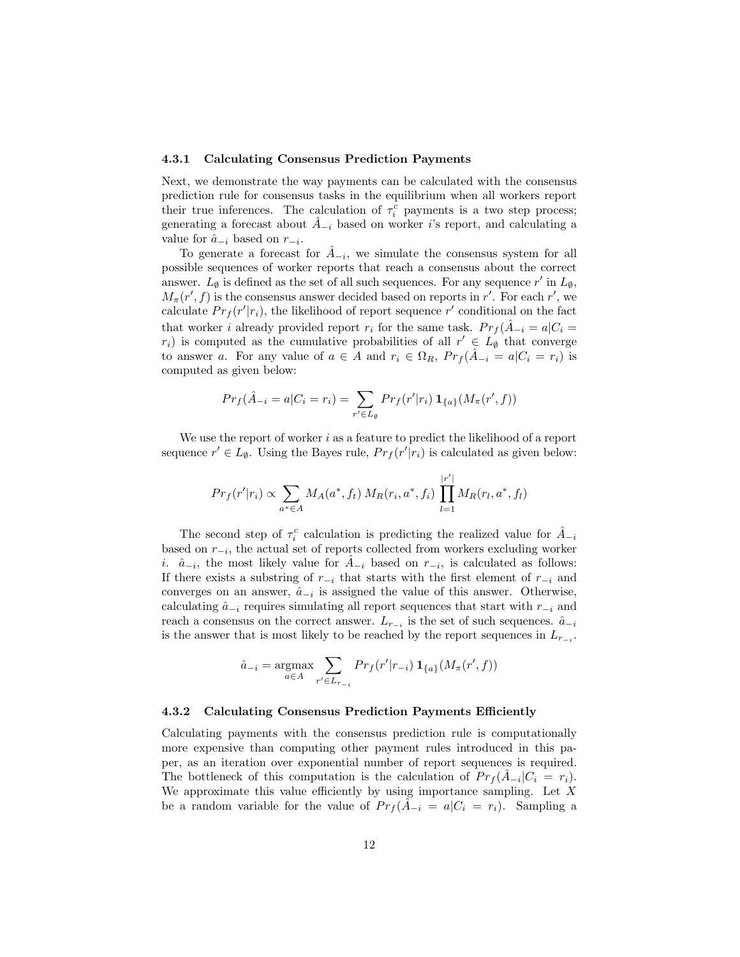#### 4.3.1 Calculating Consensus Prediction Payments

Next, we demonstrate the way payments can be calculated with the consensus prediction rule for consensus tasks in the equilibrium when all workers report their true inferences. The calculation of  $\tau_i^c$  payments is a two step process; generating a forecast about  $A_{-i}$  based on worker *i*'s report, and calculating a value for  $\hat{a}_{-i}$  based on  $r_{-i}$ .

To generate a forecast for  $\hat{A}_{-i}$ , we simulate the consensus system for all possible sequences of worker reports that reach a consensus about the correct answer.  $L_{\emptyset}$  is defined as the set of all such sequences. For any sequence r' in  $L_{\emptyset}$ ,  $M_{\pi}(r', f)$  is the consensus answer decided based on reports in r'. For each r', we calculate  $Pr_f(r'|r_i)$ , the likelihood of report sequence r' conditional on the fact that worker i already provided report  $r_i$  for the same task.  $Pr_f(\hat{A}_{-i} = a|C_i = a)$  $r_i$ ) is computed as the cumulative probabilities of all  $r' \in L_{\emptyset}$  that converge to answer a. For any value of  $a \in A$  and  $r_i \in \Omega_R$ ,  $Pr_f(\hat{A}_{-i} = a | C_i = r_i)$  is computed as given below:

$$
Pr_f(\hat{A}_{-i} = a | C_i = r_i) = \sum_{r' \in L_{\emptyset}} Pr_f(r'|r_i) \mathbf{1}_{\{a\}}(M_{\pi}(r', f))
$$

We use the report of worker  $i$  as a feature to predict the likelihood of a report sequence  $r' \in L_{\emptyset}$ . Using the Bayes rule,  $Pr_f(r'|r_i)$  is calculated as given below:

$$
Pr_f(r'|r_i) \propto \sum_{a^* \in A} M_A(a^*, f_t) M_R(r_i, a^*, f_i) \prod_{l=1}^{|r'|} M_R(r_l, a^*, f_l)
$$

The second step of  $\tau_i^c$  calculation is predicting the realized value for  $\hat{A}_{-i}$ based on r<sup>−</sup><sup>i</sup> , the actual set of reports collected from workers excluding worker i.  $\hat{a}_{-i}$ , the most likely value for  $\hat{A}_{-i}$  based on  $r_{-i}$ , is calculated as follows: If there exists a substring of  $r_{-i}$  that starts with the first element of  $r_{-i}$  and converges on an answer,  $\hat{a}_{-i}$  is assigned the value of this answer. Otherwise, calculating  $\hat{a}_{-i}$  requires simulating all report sequences that start with  $r_{-i}$  and reach a consensus on the correct answer.  $L_{r_{-i}}$  is the set of such sequences.  $\hat{a}_{-i}$ is the answer that is most likely to be reached by the report sequences in  $L_{r_{-i}}$ .

$$
\hat{a}_{-i} = \underset{a \in A}{\text{argmax}} \sum_{r' \in L_{r_{-i}}} Pr_f(r'|r_{-i}) \mathbf{1}_{\{a\}}(M_{\pi}(r', f))
$$

#### 4.3.2 Calculating Consensus Prediction Payments Efficiently

Calculating payments with the consensus prediction rule is computationally more expensive than computing other payment rules introduced in this paper, as an iteration over exponential number of report sequences is required. The bottleneck of this computation is the calculation of  $Pr_f(\hat{A}_{-i}|C_i = r_i)$ . We approximate this value efficiently by using importance sampling. Let  $X$ be a random variable for the value of  $Pr_f(\hat{A}_{-i} = a | C_i = r_i)$ . Sampling a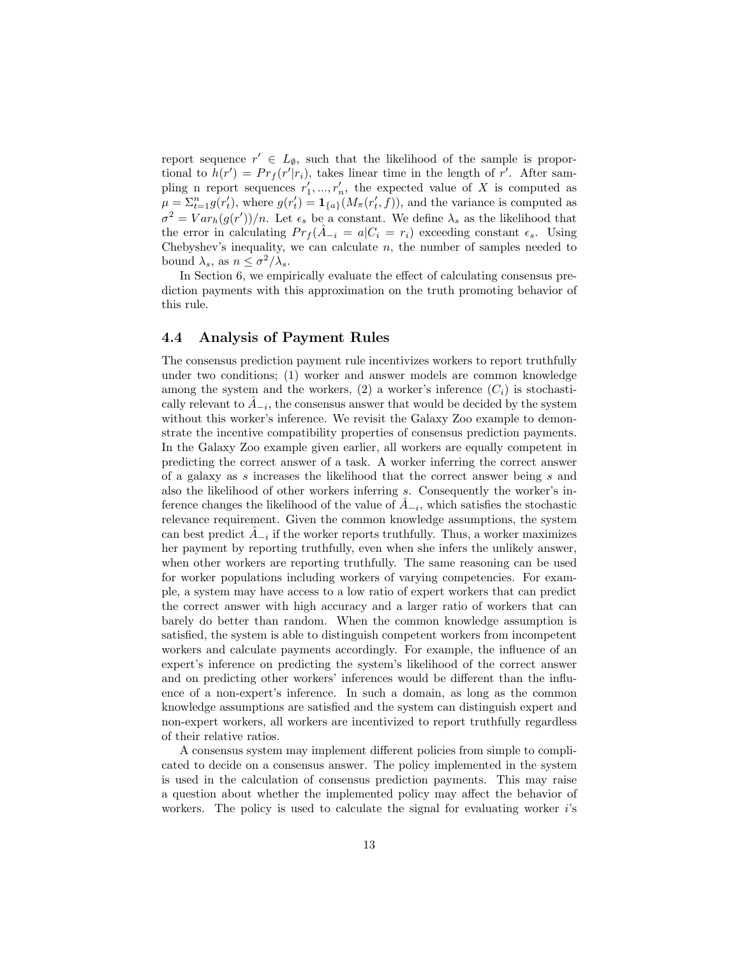report sequence  $r' \in L_{\emptyset}$ , such that the likelihood of the sample is proportional to  $h(r') = Pr_f(r'|r_i)$ , takes linear time in the length of r'. After sampling n report sequences  $r'_1, ..., r'_n$ , the expected value of X is computed as  $\mu = \sum_{t=1}^n g(r'_t)$ , where  $g(r'_t) = \mathbf{1}_{\{a\}}(M_\pi(r'_t, f))$ , and the variance is computed as  $\sigma^2 = Var_h(g(r'))/n$ . Let  $\epsilon_s$  be a constant. We define  $\lambda_s$  as the likelihood that the error in calculating  $Pr_f(A_{-i} = a | C_i = r_i)$  exceeding constant  $\epsilon_s$ . Using Chebyshev's inequality, we can calculate  $n$ , the number of samples needed to bound  $\lambda_s$ , as  $n \leq \sigma^2/\lambda_s$ .

In Section 6, we empirically evaluate the effect of calculating consensus prediction payments with this approximation on the truth promoting behavior of this rule.

### 4.4 Analysis of Payment Rules

The consensus prediction payment rule incentivizes workers to report truthfully under two conditions; (1) worker and answer models are common knowledge among the system and the workers,  $(2)$  a worker's inference  $(C_i)$  is stochastically relevant to  $\hat{A}_{-i}$ , the consensus answer that would be decided by the system without this worker's inference. We revisit the Galaxy Zoo example to demonstrate the incentive compatibility properties of consensus prediction payments. In the Galaxy Zoo example given earlier, all workers are equally competent in predicting the correct answer of a task. A worker inferring the correct answer of a galaxy as s increases the likelihood that the correct answer being s and also the likelihood of other workers inferring s. Consequently the worker's inference changes the likelihood of the value of  $\hat{A}_{-i}$ , which satisfies the stochastic relevance requirement. Given the common knowledge assumptions, the system can best predict  $\hat{A}_{-i}$  if the worker reports truthfully. Thus, a worker maximizes her payment by reporting truthfully, even when she infers the unlikely answer, when other workers are reporting truthfully. The same reasoning can be used for worker populations including workers of varying competencies. For example, a system may have access to a low ratio of expert workers that can predict the correct answer with high accuracy and a larger ratio of workers that can barely do better than random. When the common knowledge assumption is satisfied, the system is able to distinguish competent workers from incompetent workers and calculate payments accordingly. For example, the influence of an expert's inference on predicting the system's likelihood of the correct answer and on predicting other workers' inferences would be different than the influence of a non-expert's inference. In such a domain, as long as the common knowledge assumptions are satisfied and the system can distinguish expert and non-expert workers, all workers are incentivized to report truthfully regardless of their relative ratios.

A consensus system may implement different policies from simple to complicated to decide on a consensus answer. The policy implemented in the system is used in the calculation of consensus prediction payments. This may raise a question about whether the implemented policy may affect the behavior of workers. The policy is used to calculate the signal for evaluating worker  $i$ 's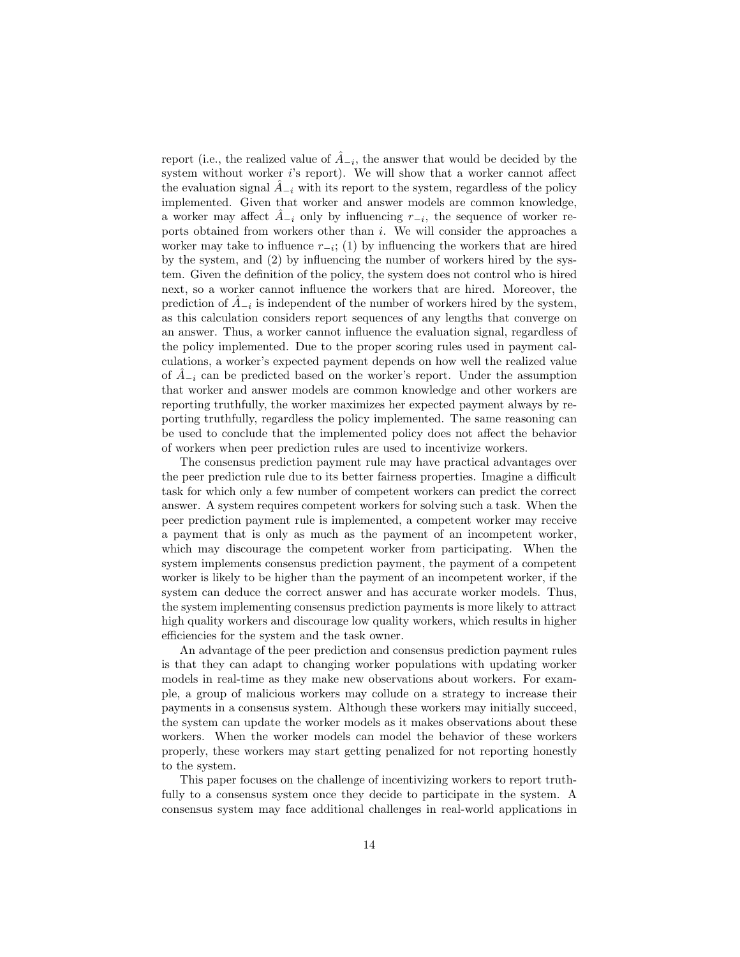report (i.e., the realized value of  $\hat{A}_{-i}$ , the answer that would be decided by the system without worker i's report). We will show that a worker cannot affect the evaluation signal  $A_{-i}$  with its report to the system, regardless of the policy implemented. Given that worker and answer models are common knowledge, a worker may affect  $\hat{A}_{-i}$  only by influencing  $r_{-i}$ , the sequence of worker reports obtained from workers other than  $i$ . We will consider the approaches a worker may take to influence  $r_{-i}$ ; (1) by influencing the workers that are hired by the system, and (2) by influencing the number of workers hired by the system. Given the definition of the policy, the system does not control who is hired next, so a worker cannot influence the workers that are hired. Moreover, the prediction of  $\hat{A}_{-i}$  is independent of the number of workers hired by the system, as this calculation considers report sequences of any lengths that converge on an answer. Thus, a worker cannot influence the evaluation signal, regardless of the policy implemented. Due to the proper scoring rules used in payment calculations, a worker's expected payment depends on how well the realized value of  $\tilde{A}_{-i}$  can be predicted based on the worker's report. Under the assumption that worker and answer models are common knowledge and other workers are reporting truthfully, the worker maximizes her expected payment always by reporting truthfully, regardless the policy implemented. The same reasoning can be used to conclude that the implemented policy does not affect the behavior of workers when peer prediction rules are used to incentivize workers.

The consensus prediction payment rule may have practical advantages over the peer prediction rule due to its better fairness properties. Imagine a difficult task for which only a few number of competent workers can predict the correct answer. A system requires competent workers for solving such a task. When the peer prediction payment rule is implemented, a competent worker may receive a payment that is only as much as the payment of an incompetent worker, which may discourage the competent worker from participating. When the system implements consensus prediction payment, the payment of a competent worker is likely to be higher than the payment of an incompetent worker, if the system can deduce the correct answer and has accurate worker models. Thus, the system implementing consensus prediction payments is more likely to attract high quality workers and discourage low quality workers, which results in higher efficiencies for the system and the task owner.

An advantage of the peer prediction and consensus prediction payment rules is that they can adapt to changing worker populations with updating worker models in real-time as they make new observations about workers. For example, a group of malicious workers may collude on a strategy to increase their payments in a consensus system. Although these workers may initially succeed, the system can update the worker models as it makes observations about these workers. When the worker models can model the behavior of these workers properly, these workers may start getting penalized for not reporting honestly to the system.

This paper focuses on the challenge of incentivizing workers to report truthfully to a consensus system once they decide to participate in the system. A consensus system may face additional challenges in real-world applications in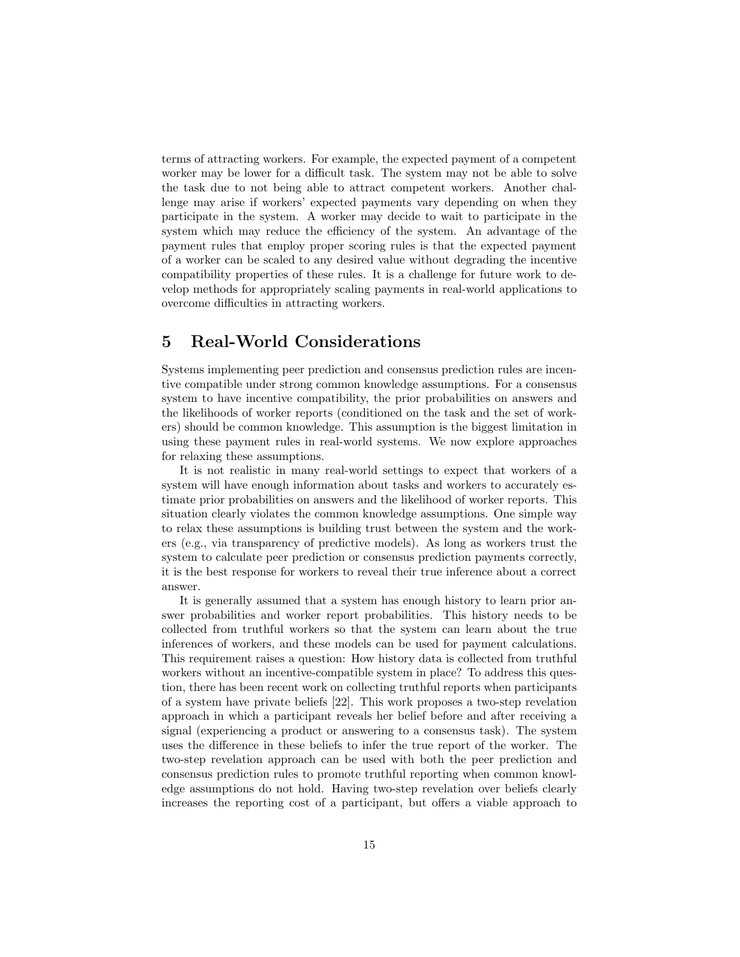terms of attracting workers. For example, the expected payment of a competent worker may be lower for a difficult task. The system may not be able to solve the task due to not being able to attract competent workers. Another challenge may arise if workers' expected payments vary depending on when they participate in the system. A worker may decide to wait to participate in the system which may reduce the efficiency of the system. An advantage of the payment rules that employ proper scoring rules is that the expected payment of a worker can be scaled to any desired value without degrading the incentive compatibility properties of these rules. It is a challenge for future work to develop methods for appropriately scaling payments in real-world applications to overcome difficulties in attracting workers.

# 5 Real-World Considerations

Systems implementing peer prediction and consensus prediction rules are incentive compatible under strong common knowledge assumptions. For a consensus system to have incentive compatibility, the prior probabilities on answers and the likelihoods of worker reports (conditioned on the task and the set of workers) should be common knowledge. This assumption is the biggest limitation in using these payment rules in real-world systems. We now explore approaches for relaxing these assumptions.

It is not realistic in many real-world settings to expect that workers of a system will have enough information about tasks and workers to accurately estimate prior probabilities on answers and the likelihood of worker reports. This situation clearly violates the common knowledge assumptions. One simple way to relax these assumptions is building trust between the system and the workers (e.g., via transparency of predictive models). As long as workers trust the system to calculate peer prediction or consensus prediction payments correctly, it is the best response for workers to reveal their true inference about a correct answer.

It is generally assumed that a system has enough history to learn prior answer probabilities and worker report probabilities. This history needs to be collected from truthful workers so that the system can learn about the true inferences of workers, and these models can be used for payment calculations. This requirement raises a question: How history data is collected from truthful workers without an incentive-compatible system in place? To address this question, there has been recent work on collecting truthful reports when participants of a system have private beliefs [22]. This work proposes a two-step revelation approach in which a participant reveals her belief before and after receiving a signal (experiencing a product or answering to a consensus task). The system uses the difference in these beliefs to infer the true report of the worker. The two-step revelation approach can be used with both the peer prediction and consensus prediction rules to promote truthful reporting when common knowledge assumptions do not hold. Having two-step revelation over beliefs clearly increases the reporting cost of a participant, but offers a viable approach to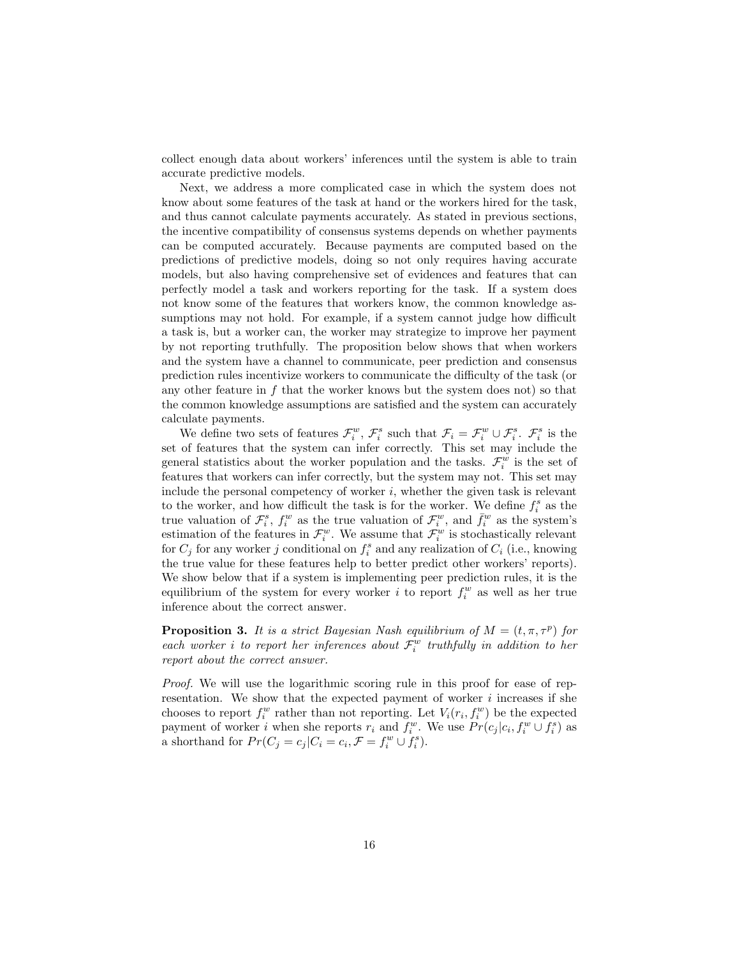collect enough data about workers' inferences until the system is able to train accurate predictive models.

Next, we address a more complicated case in which the system does not know about some features of the task at hand or the workers hired for the task, and thus cannot calculate payments accurately. As stated in previous sections, the incentive compatibility of consensus systems depends on whether payments can be computed accurately. Because payments are computed based on the predictions of predictive models, doing so not only requires having accurate models, but also having comprehensive set of evidences and features that can perfectly model a task and workers reporting for the task. If a system does not know some of the features that workers know, the common knowledge assumptions may not hold. For example, if a system cannot judge how difficult a task is, but a worker can, the worker may strategize to improve her payment by not reporting truthfully. The proposition below shows that when workers and the system have a channel to communicate, peer prediction and consensus prediction rules incentivize workers to communicate the difficulty of the task (or any other feature in  $f$  that the worker knows but the system does not) so that the common knowledge assumptions are satisfied and the system can accurately calculate payments.

We define two sets of features  $\mathcal{F}_i^w$ ,  $\mathcal{F}_i^s$  such that  $\mathcal{F}_i = \mathcal{F}_i^w \cup \mathcal{F}_i^s$ .  $\mathcal{F}_i^s$  is the set of features that the system can infer correctly. This set may include the general statistics about the worker population and the tasks.  $\mathcal{F}_i^w$  is the set of features that workers can infer correctly, but the system may not. This set may include the personal competency of worker  $i$ , whether the given task is relevant to the worker, and how difficult the task is for the worker. We define  $f_i^s$  as the true valuation of  $\mathcal{F}_i^s$ ,  $f_i^w$  as the true valuation of  $\mathcal{F}_i^w$ , and  $\bar{f}_i^w$  as the system's estimation of the features in  $\mathcal{F}_{i}^{w}$ . We assume that  $\mathcal{F}_{i}^{w}$  is stochastically relevant for  $C_j$  for any worker j conditional on  $f_i^s$  and any realization of  $C_i$  (i.e., knowing the true value for these features help to better predict other workers' reports). We show below that if a system is implementing peer prediction rules, it is the equilibrium of the system for every worker i to report  $f_i^w$  as well as her true inference about the correct answer.

**Proposition 3.** It is a strict Bayesian Nash equilibrium of  $M = (t, \pi, \tau^p)$  for each worker *i* to report her inferences about  $\mathcal{F}_i^w$  truthfully in addition to her report about the correct answer.

Proof. We will use the logarithmic scoring rule in this proof for ease of representation. We show that the expected payment of worker  $i$  increases if she chooses to report  $f_i^w$  rather than not reporting. Let  $V_i(r_i, f_i^w)$  be the expected payment of worker i when she reports  $r_i$  and  $f_i^w$ . We use  $Pr(c_j | c_i, f_i^w \cup f_i^s)$  as a shorthand for  $Pr(C_j = c_j | C_i = c_i, \mathcal{F} = f_i^w \cup f_i^s)$ .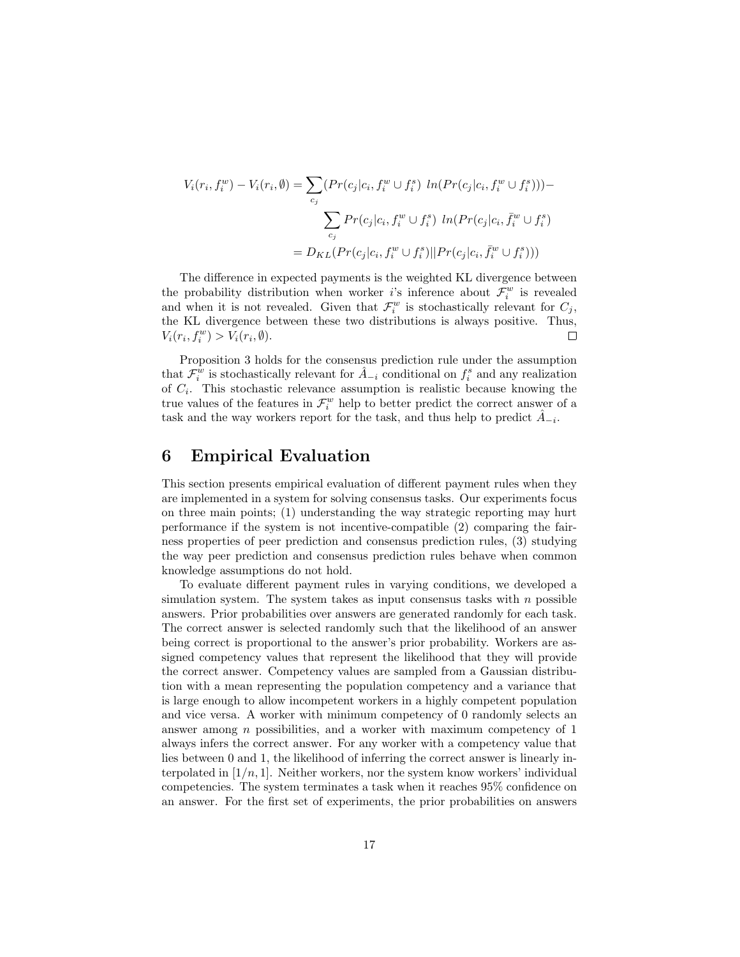$$
V_i(r_i, f_i^w) - V_i(r_i, \emptyset) = \sum_{c_j} (Pr(c_j|c_i, f_i^w \cup f_i^s) \ ln(Pr(c_j|c_i, f_i^w \cup f_i^s))) -
$$

$$
\sum_{c_j} Pr(c_j|c_i, f_i^w \cup f_i^s) \ ln(Pr(c_j|c_i, \bar{f}_i^w \cup f_i^s))
$$

$$
= D_{KL}(Pr(c_j|c_i, f_i^w \cup f_i^s)||Pr(c_j|c_i, \bar{f}_i^w \cup f_i^s)))
$$

The difference in expected payments is the weighted KL divergence between the probability distribution when worker *i*'s inference about  $\mathcal{F}_i^w$  is revealed and when it is not revealed. Given that  $\mathcal{F}_i^w$  is stochastically relevant for  $C_j$ , the KL divergence between these two distributions is always positive. Thus,  $V_i(r_i, f_i^w) > V_i(r_i, \emptyset).$  $\Box$ 

Proposition 3 holds for the consensus prediction rule under the assumption that  $\mathcal{F}_i^w$  is stochastically relevant for  $\hat{A}_{-i}$  conditional on  $f_i^s$  and any realization of  $C_i$ . This stochastic relevance assumption is realistic because knowing the true values of the features in  $\mathcal{F}_i^w$  help to better predict the correct answer of a task and the way workers report for the task, and thus help to predict  $\hat{A}_{-i}$ .

### 6 Empirical Evaluation

This section presents empirical evaluation of different payment rules when they are implemented in a system for solving consensus tasks. Our experiments focus on three main points; (1) understanding the way strategic reporting may hurt performance if the system is not incentive-compatible (2) comparing the fairness properties of peer prediction and consensus prediction rules, (3) studying the way peer prediction and consensus prediction rules behave when common knowledge assumptions do not hold.

To evaluate different payment rules in varying conditions, we developed a simulation system. The system takes as input consensus tasks with  $n$  possible answers. Prior probabilities over answers are generated randomly for each task. The correct answer is selected randomly such that the likelihood of an answer being correct is proportional to the answer's prior probability. Workers are assigned competency values that represent the likelihood that they will provide the correct answer. Competency values are sampled from a Gaussian distribution with a mean representing the population competency and a variance that is large enough to allow incompetent workers in a highly competent population and vice versa. A worker with minimum competency of 0 randomly selects an answer among  $n$  possibilities, and a worker with maximum competency of  $1$ always infers the correct answer. For any worker with a competency value that lies between 0 and 1, the likelihood of inferring the correct answer is linearly interpolated in  $[1/n, 1]$ . Neither workers, nor the system know workers' individual competencies. The system terminates a task when it reaches 95% confidence on an answer. For the first set of experiments, the prior probabilities on answers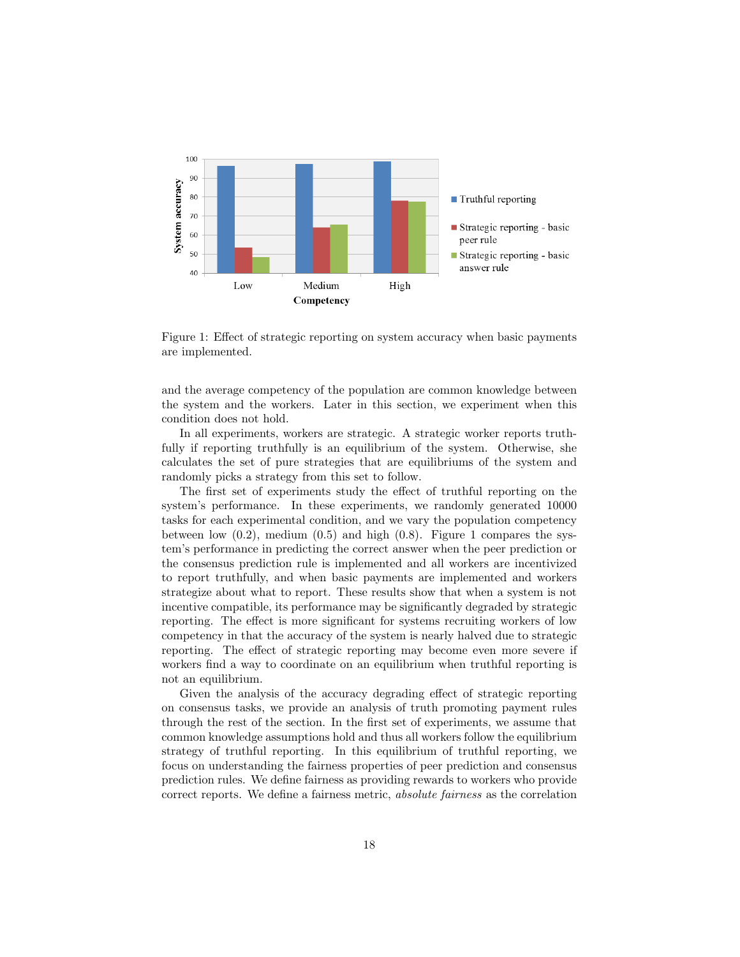

Figure 1: Effect of strategic reporting on system accuracy when basic payments are implemented.

and the average competency of the population are common knowledge between the system and the workers. Later in this section, we experiment when this condition does not hold.

In all experiments, workers are strategic. A strategic worker reports truthfully if reporting truthfully is an equilibrium of the system. Otherwise, she calculates the set of pure strategies that are equilibriums of the system and randomly picks a strategy from this set to follow.

The first set of experiments study the effect of truthful reporting on the system's performance. In these experiments, we randomly generated 10000 tasks for each experimental condition, and we vary the population competency between low  $(0.2)$ , medium  $(0.5)$  and high  $(0.8)$ . Figure 1 compares the system's performance in predicting the correct answer when the peer prediction or the consensus prediction rule is implemented and all workers are incentivized to report truthfully, and when basic payments are implemented and workers strategize about what to report. These results show that when a system is not incentive compatible, its performance may be significantly degraded by strategic reporting. The effect is more significant for systems recruiting workers of low competency in that the accuracy of the system is nearly halved due to strategic reporting. The effect of strategic reporting may become even more severe if workers find a way to coordinate on an equilibrium when truthful reporting is not an equilibrium.

Given the analysis of the accuracy degrading effect of strategic reporting on consensus tasks, we provide an analysis of truth promoting payment rules through the rest of the section. In the first set of experiments, we assume that common knowledge assumptions hold and thus all workers follow the equilibrium strategy of truthful reporting. In this equilibrium of truthful reporting, we focus on understanding the fairness properties of peer prediction and consensus prediction rules. We define fairness as providing rewards to workers who provide correct reports. We define a fairness metric, absolute fairness as the correlation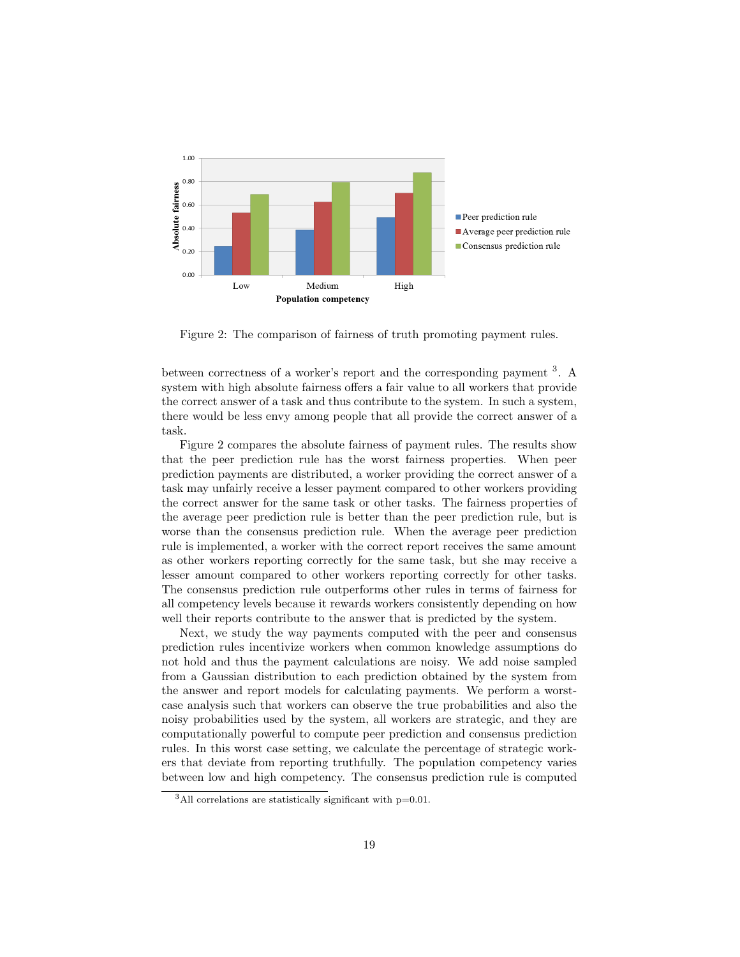

Figure 2: The comparison of fairness of truth promoting payment rules.

between correctness of a worker's report and the corresponding payment <sup>3</sup>. A system with high absolute fairness offers a fair value to all workers that provide the correct answer of a task and thus contribute to the system. In such a system, there would be less envy among people that all provide the correct answer of a task.

Figure 2 compares the absolute fairness of payment rules. The results show that the peer prediction rule has the worst fairness properties. When peer prediction payments are distributed, a worker providing the correct answer of a task may unfairly receive a lesser payment compared to other workers providing the correct answer for the same task or other tasks. The fairness properties of the average peer prediction rule is better than the peer prediction rule, but is worse than the consensus prediction rule. When the average peer prediction rule is implemented, a worker with the correct report receives the same amount as other workers reporting correctly for the same task, but she may receive a lesser amount compared to other workers reporting correctly for other tasks. The consensus prediction rule outperforms other rules in terms of fairness for all competency levels because it rewards workers consistently depending on how well their reports contribute to the answer that is predicted by the system.

Next, we study the way payments computed with the peer and consensus prediction rules incentivize workers when common knowledge assumptions do not hold and thus the payment calculations are noisy. We add noise sampled from a Gaussian distribution to each prediction obtained by the system from the answer and report models for calculating payments. We perform a worstcase analysis such that workers can observe the true probabilities and also the noisy probabilities used by the system, all workers are strategic, and they are computationally powerful to compute peer prediction and consensus prediction rules. In this worst case setting, we calculate the percentage of strategic workers that deviate from reporting truthfully. The population competency varies between low and high competency. The consensus prediction rule is computed

 $3$ All correlations are statistically significant with  $p=0.01$ .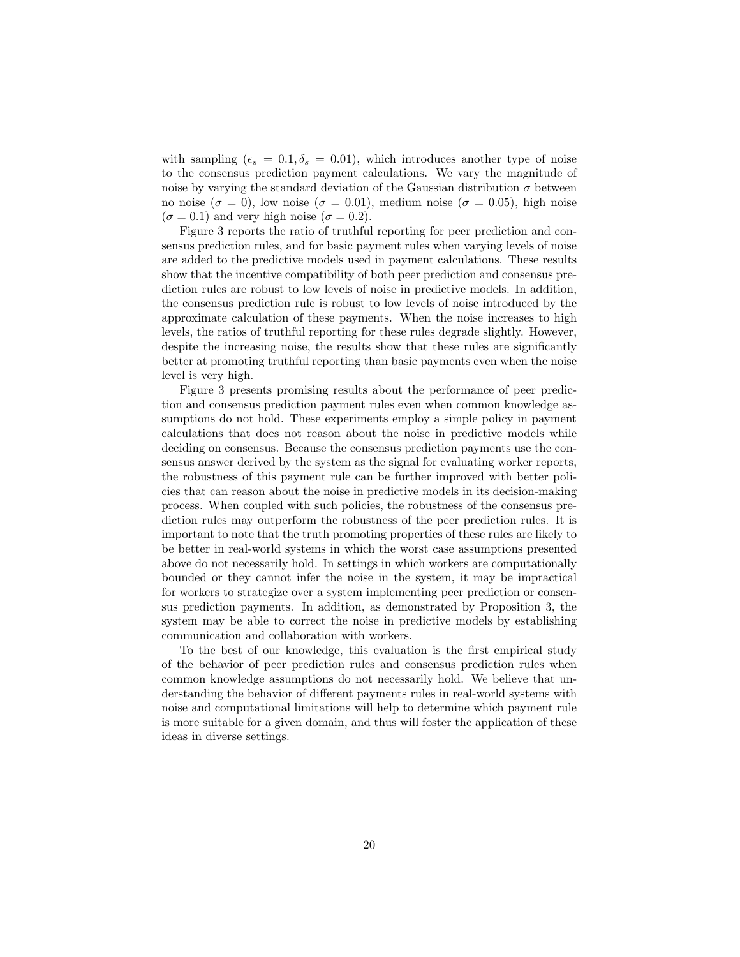with sampling  $(\epsilon_s = 0.1, \delta_s = 0.01)$ , which introduces another type of noise to the consensus prediction payment calculations. We vary the magnitude of noise by varying the standard deviation of the Gaussian distribution  $\sigma$  between no noise ( $\sigma = 0$ ), low noise ( $\sigma = 0.01$ ), medium noise ( $\sigma = 0.05$ ), high noise  $(\sigma = 0.1)$  and very high noise  $(\sigma = 0.2)$ .

Figure 3 reports the ratio of truthful reporting for peer prediction and consensus prediction rules, and for basic payment rules when varying levels of noise are added to the predictive models used in payment calculations. These results show that the incentive compatibility of both peer prediction and consensus prediction rules are robust to low levels of noise in predictive models. In addition, the consensus prediction rule is robust to low levels of noise introduced by the approximate calculation of these payments. When the noise increases to high levels, the ratios of truthful reporting for these rules degrade slightly. However, despite the increasing noise, the results show that these rules are significantly better at promoting truthful reporting than basic payments even when the noise level is very high.

Figure 3 presents promising results about the performance of peer prediction and consensus prediction payment rules even when common knowledge assumptions do not hold. These experiments employ a simple policy in payment calculations that does not reason about the noise in predictive models while deciding on consensus. Because the consensus prediction payments use the consensus answer derived by the system as the signal for evaluating worker reports, the robustness of this payment rule can be further improved with better policies that can reason about the noise in predictive models in its decision-making process. When coupled with such policies, the robustness of the consensus prediction rules may outperform the robustness of the peer prediction rules. It is important to note that the truth promoting properties of these rules are likely to be better in real-world systems in which the worst case assumptions presented above do not necessarily hold. In settings in which workers are computationally bounded or they cannot infer the noise in the system, it may be impractical for workers to strategize over a system implementing peer prediction or consensus prediction payments. In addition, as demonstrated by Proposition 3, the system may be able to correct the noise in predictive models by establishing communication and collaboration with workers.

To the best of our knowledge, this evaluation is the first empirical study of the behavior of peer prediction rules and consensus prediction rules when common knowledge assumptions do not necessarily hold. We believe that understanding the behavior of different payments rules in real-world systems with noise and computational limitations will help to determine which payment rule is more suitable for a given domain, and thus will foster the application of these ideas in diverse settings.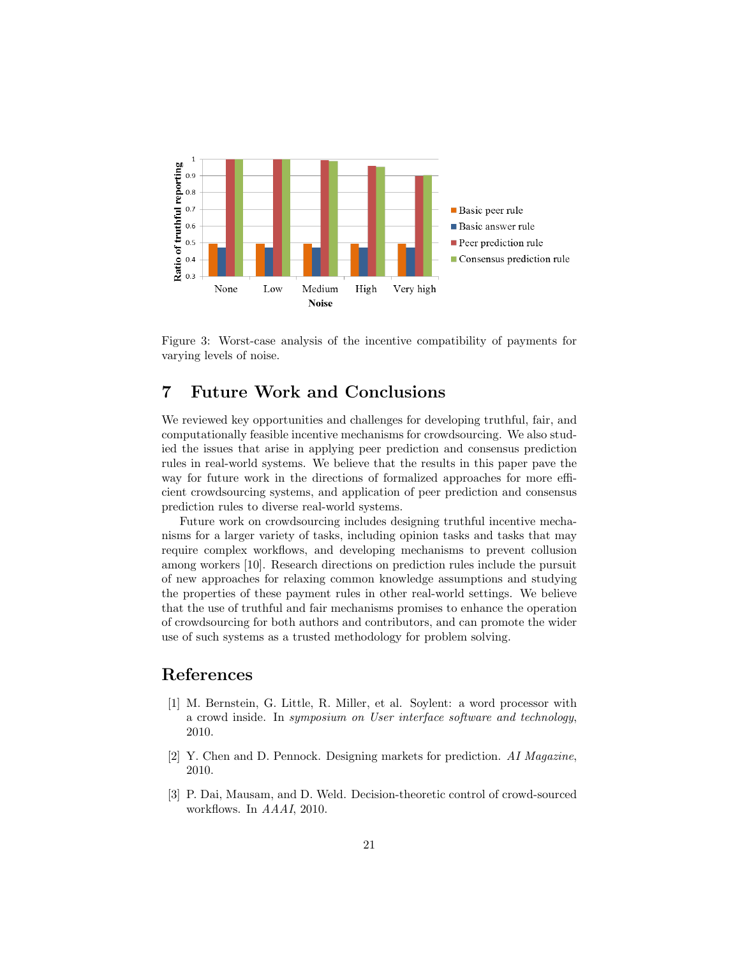

Figure 3: Worst-case analysis of the incentive compatibility of payments for varying levels of noise.

# 7 Future Work and Conclusions

We reviewed key opportunities and challenges for developing truthful, fair, and computationally feasible incentive mechanisms for crowdsourcing. We also studied the issues that arise in applying peer prediction and consensus prediction rules in real-world systems. We believe that the results in this paper pave the way for future work in the directions of formalized approaches for more efficient crowdsourcing systems, and application of peer prediction and consensus prediction rules to diverse real-world systems.

Future work on crowdsourcing includes designing truthful incentive mechanisms for a larger variety of tasks, including opinion tasks and tasks that may require complex workflows, and developing mechanisms to prevent collusion among workers [10]. Research directions on prediction rules include the pursuit of new approaches for relaxing common knowledge assumptions and studying the properties of these payment rules in other real-world settings. We believe that the use of truthful and fair mechanisms promises to enhance the operation of crowdsourcing for both authors and contributors, and can promote the wider use of such systems as a trusted methodology for problem solving.

## References

- [1] M. Bernstein, G. Little, R. Miller, et al. Soylent: a word processor with a crowd inside. In symposium on User interface software and technology, 2010.
- [2] Y. Chen and D. Pennock. Designing markets for prediction. AI Magazine, 2010.
- [3] P. Dai, Mausam, and D. Weld. Decision-theoretic control of crowd-sourced workflows. In AAAI, 2010.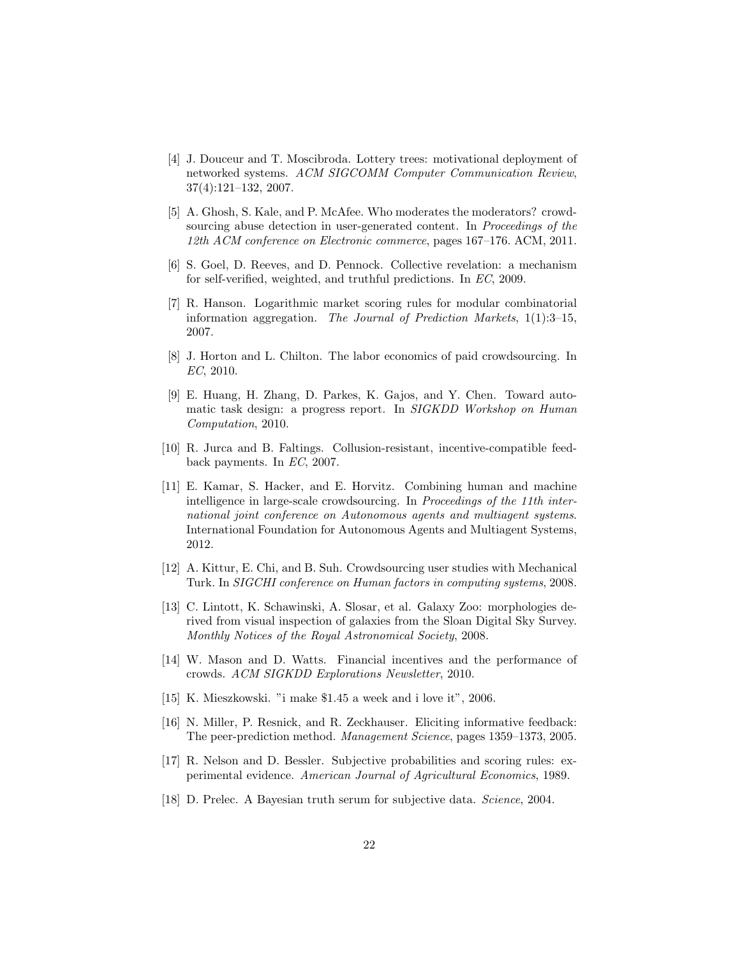- [4] J. Douceur and T. Moscibroda. Lottery trees: motivational deployment of networked systems. ACM SIGCOMM Computer Communication Review, 37(4):121–132, 2007.
- [5] A. Ghosh, S. Kale, and P. McAfee. Who moderates the moderators? crowdsourcing abuse detection in user-generated content. In Proceedings of the 12th ACM conference on Electronic commerce, pages 167–176. ACM, 2011.
- [6] S. Goel, D. Reeves, and D. Pennock. Collective revelation: a mechanism for self-verified, weighted, and truthful predictions. In EC, 2009.
- [7] R. Hanson. Logarithmic market scoring rules for modular combinatorial information aggregation. The Journal of Prediction Markets, 1(1):3–15, 2007.
- [8] J. Horton and L. Chilton. The labor economics of paid crowdsourcing. In EC, 2010.
- [9] E. Huang, H. Zhang, D. Parkes, K. Gajos, and Y. Chen. Toward automatic task design: a progress report. In SIGKDD Workshop on Human Computation, 2010.
- [10] R. Jurca and B. Faltings. Collusion-resistant, incentive-compatible feedback payments. In EC, 2007.
- [11] E. Kamar, S. Hacker, and E. Horvitz. Combining human and machine intelligence in large-scale crowdsourcing. In Proceedings of the 11th international joint conference on Autonomous agents and multiagent systems. International Foundation for Autonomous Agents and Multiagent Systems, 2012.
- [12] A. Kittur, E. Chi, and B. Suh. Crowdsourcing user studies with Mechanical Turk. In SIGCHI conference on Human factors in computing systems, 2008.
- [13] C. Lintott, K. Schawinski, A. Slosar, et al. Galaxy Zoo: morphologies derived from visual inspection of galaxies from the Sloan Digital Sky Survey. Monthly Notices of the Royal Astronomical Society, 2008.
- [14] W. Mason and D. Watts. Financial incentives and the performance of crowds. ACM SIGKDD Explorations Newsletter, 2010.
- [15] K. Mieszkowski. "i make \$1.45 a week and i love it", 2006.
- [16] N. Miller, P. Resnick, and R. Zeckhauser. Eliciting informative feedback: The peer-prediction method. Management Science, pages 1359–1373, 2005.
- [17] R. Nelson and D. Bessler. Subjective probabilities and scoring rules: experimental evidence. American Journal of Agricultural Economics, 1989.
- [18] D. Prelec. A Bayesian truth serum for subjective data. Science, 2004.